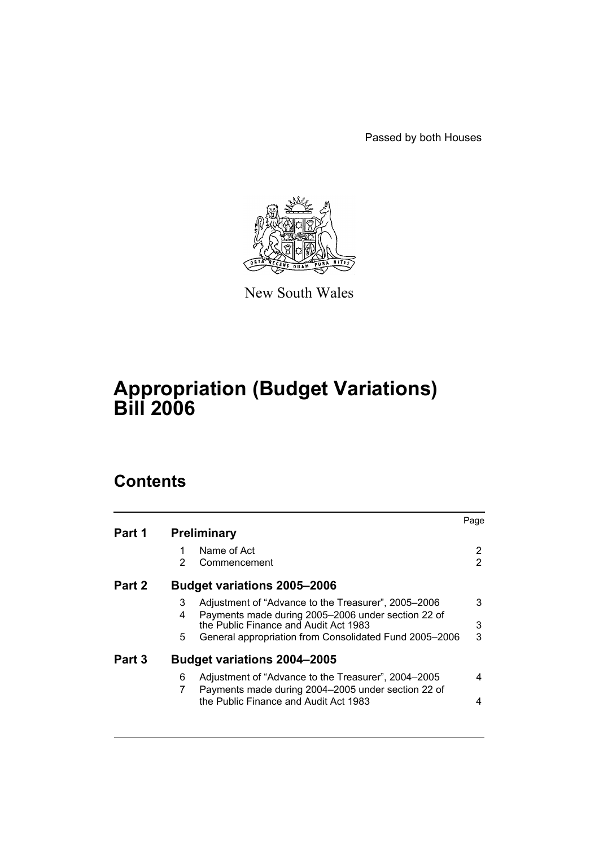Passed by both Houses



New South Wales

# **Appropriation (Budget Variations) Bill 2006**

# **Contents**

|        |    |                                                        | Page |
|--------|----|--------------------------------------------------------|------|
| Part 1 |    | <b>Preliminary</b>                                     |      |
|        |    | Name of Act                                            | 2    |
|        | 2  | Commencement                                           | 2    |
| Part 2 |    | <b>Budget variations 2005-2006</b>                     |      |
|        | 3  | Adjustment of "Advance to the Treasurer", 2005–2006    | 3    |
|        | 4  | Payments made during 2005-2006 under section 22 of     |      |
|        |    | the Public Finance and Audit Act 1983                  | 3    |
|        | 5. | General appropriation from Consolidated Fund 2005-2006 | 3    |
| Part 3 |    | <b>Budget variations 2004-2005</b>                     |      |
|        | 6  | Adjustment of "Advance to the Treasurer", 2004–2005    | 4    |
|        | 7  | Payments made during 2004-2005 under section 22 of     |      |
|        |    | the Public Finance and Audit Act 1983                  | 4    |
|        |    |                                                        |      |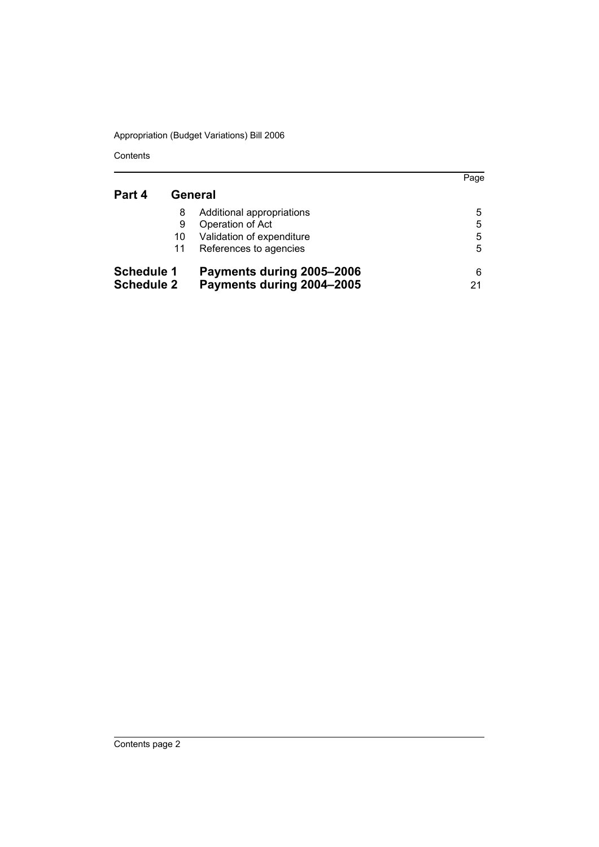Contents

|                   |    |                           | Page |
|-------------------|----|---------------------------|------|
| Part 4            |    | General                   |      |
|                   | 8  | Additional appropriations | 5    |
|                   | 9  | Operation of Act          | 5    |
|                   | 10 | Validation of expenditure | 5    |
|                   | 11 | References to agencies    | 5    |
| <b>Schedule 1</b> |    | Payments during 2005-2006 | 6    |
| <b>Schedule 2</b> |    | Payments during 2004-2005 | 21   |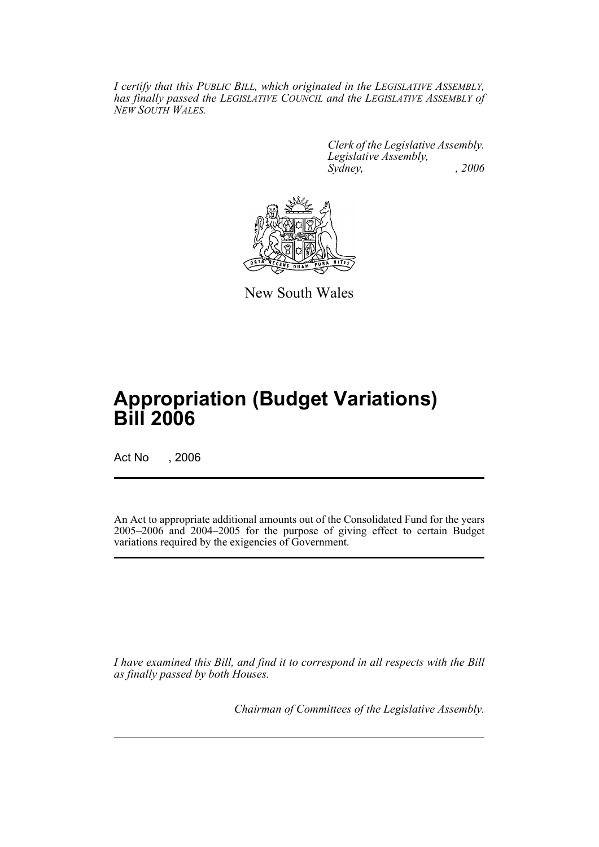*I certify that this PUBLIC BILL, which originated in the LEGISLATIVE ASSEMBLY, has finally passed the LEGISLATIVE COUNCIL and the LEGISLATIVE ASSEMBLY of NEW SOUTH WALES.*

> *Clerk of the Legislative Assembly. Legislative Assembly, Sydney, , 2006*



New South Wales

# **Appropriation (Budget Variations) Bill 2006**

Act No , 2006

An Act to appropriate additional amounts out of the Consolidated Fund for the years 2005–2006 and 2004–2005 for the purpose of giving effect to certain Budget variations required by the exigencies of Government.

*I have examined this Bill, and find it to correspond in all respects with the Bill as finally passed by both Houses.*

*Chairman of Committees of the Legislative Assembly.*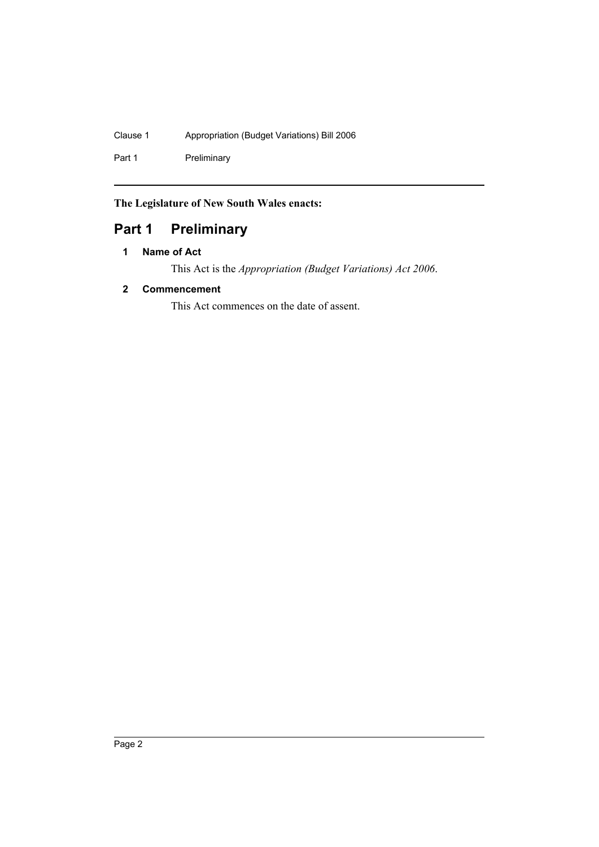#### Clause 1 Appropriation (Budget Variations) Bill 2006

Part 1 Preliminary

**The Legislature of New South Wales enacts:**

# **Part 1 Preliminary**

#### **1 Name of Act**

This Act is the *Appropriation (Budget Variations) Act 2006*.

#### **2 Commencement**

This Act commences on the date of assent.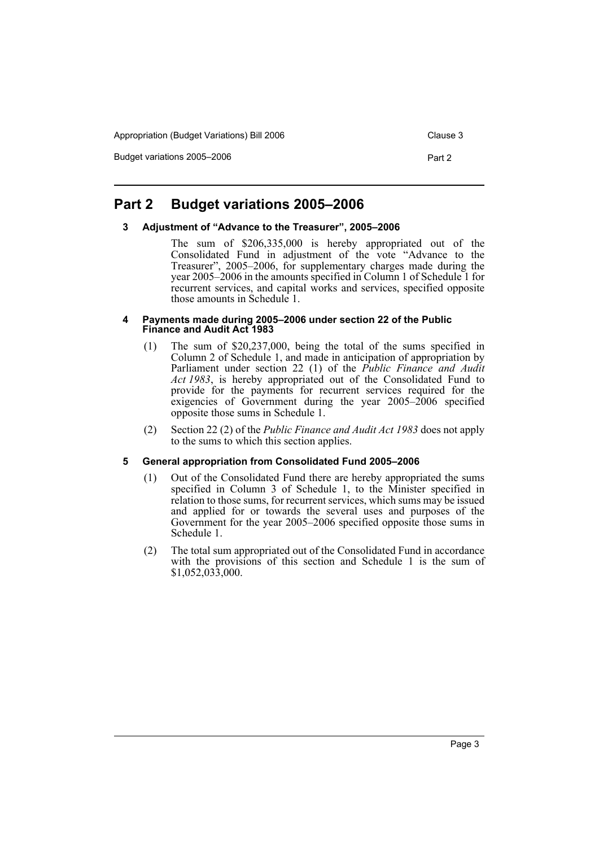Appropriation (Budget Variations) Bill 2006 Clause 3

Budget variations 2005–2006 Part 2

#### **Part 2 Budget variations 2005–2006**

#### **3 Adjustment of "Advance to the Treasurer", 2005–2006**

The sum of \$206,335,000 is hereby appropriated out of the Consolidated Fund in adjustment of the vote "Advance to the Treasurer", 2005–2006, for supplementary charges made during the year 2005–2006 in the amounts specified in Column 1 of Schedule 1 for recurrent services, and capital works and services, specified opposite those amounts in Schedule 1.

#### **4 Payments made during 2005–2006 under section 22 of the Public Finance and Audit Act 1983**

- (1) The sum of \$20,237,000, being the total of the sums specified in Column 2 of Schedule 1, and made in anticipation of appropriation by Parliament under section 22 (1) of the *Public Finance and Audit Act 1983*, is hereby appropriated out of the Consolidated Fund to provide for the payments for recurrent services required for the exigencies of Government during the year 2005–2006 specified opposite those sums in Schedule 1.
- (2) Section 22 (2) of the *Public Finance and Audit Act 1983* does not apply to the sums to which this section applies.

#### **5 General appropriation from Consolidated Fund 2005–2006**

- (1) Out of the Consolidated Fund there are hereby appropriated the sums specified in Column 3 of Schedule 1, to the Minister specified in relation to those sums, for recurrent services, which sums may be issued and applied for or towards the several uses and purposes of the Government for the year 2005–2006 specified opposite those sums in Schedule 1.
- (2) The total sum appropriated out of the Consolidated Fund in accordance with the provisions of this section and Schedule 1 is the sum of \$1,052,033,000.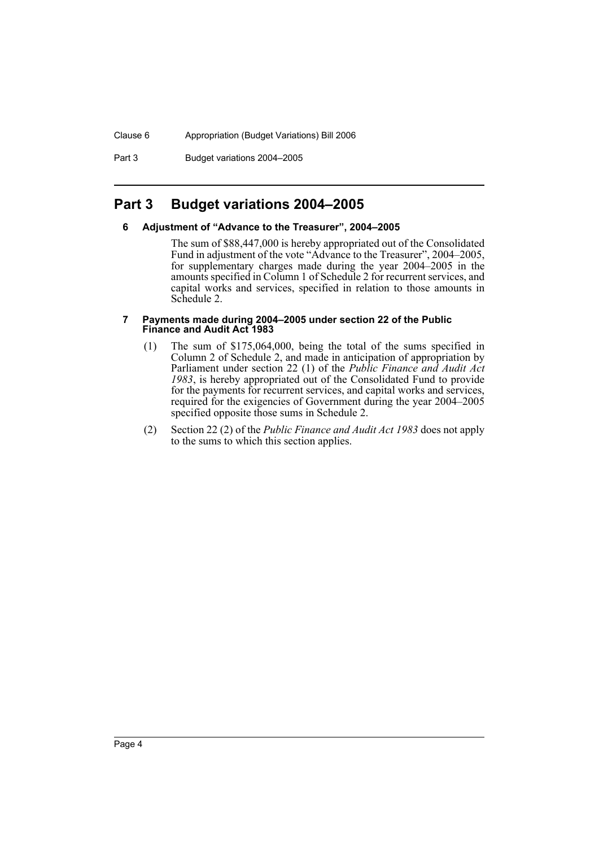Part 3 Budget variations 2004–2005

## **Part 3 Budget variations 2004–2005**

#### **6 Adjustment of "Advance to the Treasurer", 2004–2005**

The sum of \$88,447,000 is hereby appropriated out of the Consolidated Fund in adjustment of the vote "Advance to the Treasurer", 2004–2005, for supplementary charges made during the year 2004–2005 in the amounts specified in Column 1 of Schedule 2 for recurrent services, and capital works and services, specified in relation to those amounts in Schedule 2.

#### **7 Payments made during 2004–2005 under section 22 of the Public Finance and Audit Act 1983**

- (1) The sum of \$175,064,000, being the total of the sums specified in Column 2 of Schedule 2, and made in anticipation of appropriation by Parliament under section 22 (1) of the *Public Finance and Audit Act 1983*, is hereby appropriated out of the Consolidated Fund to provide for the payments for recurrent services, and capital works and services, required for the exigencies of Government during the year 2004–2005 specified opposite those sums in Schedule 2.
- (2) Section 22 (2) of the *Public Finance and Audit Act 1983* does not apply to the sums to which this section applies.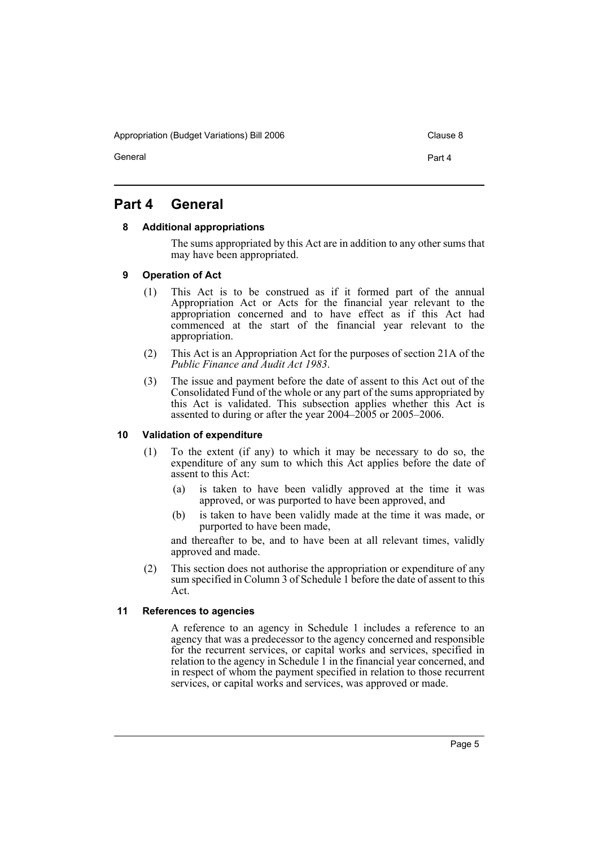Appropriation (Budget Variations) Bill 2006 Clause 8

General **Part 4** 

## **Part 4 General**

#### **8 Additional appropriations**

The sums appropriated by this Act are in addition to any other sums that may have been appropriated.

#### **9 Operation of Act**

- (1) This Act is to be construed as if it formed part of the annual Appropriation Act or Acts for the financial year relevant to the appropriation concerned and to have effect as if this Act had commenced at the start of the financial year relevant to the appropriation.
- (2) This Act is an Appropriation Act for the purposes of section 21A of the *Public Finance and Audit Act 1983*.
- (3) The issue and payment before the date of assent to this Act out of the Consolidated Fund of the whole or any part of the sums appropriated by this Act is validated. This subsection applies whether this Act is assented to during or after the year 2004–2005 or 2005–2006.

#### **10 Validation of expenditure**

- (1) To the extent (if any) to which it may be necessary to do so, the expenditure of any sum to which this Act applies before the date of assent to this Act:
	- (a) is taken to have been validly approved at the time it was approved, or was purported to have been approved, and
	- (b) is taken to have been validly made at the time it was made, or purported to have been made,

and thereafter to be, and to have been at all relevant times, validly approved and made.

(2) This section does not authorise the appropriation or expenditure of any sum specified in Column 3 of Schedule 1 before the date of assent to this Act.

#### **11 References to agencies**

A reference to an agency in Schedule 1 includes a reference to an agency that was a predecessor to the agency concerned and responsible for the recurrent services, or capital works and services, specified in relation to the agency in Schedule 1 in the financial year concerned, and in respect of whom the payment specified in relation to those recurrent services, or capital works and services, was approved or made.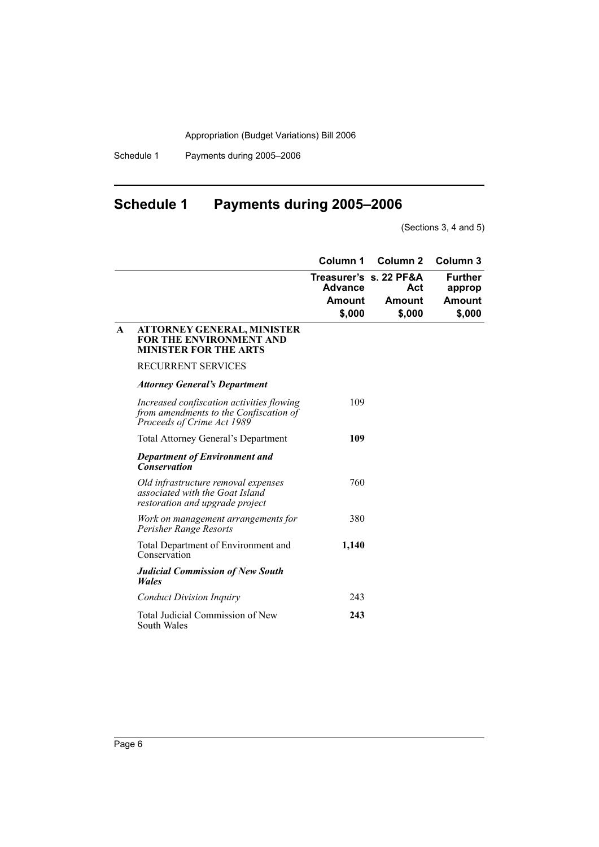Schedule 1 Payments during 2005–2006

# **Schedule 1 Payments during 2005–2006**

(Sections 3, 4 and 5)

|              |                                                                                                                   | Column 1                                  | Column <sub>2</sub>                               | Column <sub>3</sub>                   |
|--------------|-------------------------------------------------------------------------------------------------------------------|-------------------------------------------|---------------------------------------------------|---------------------------------------|
|              |                                                                                                                   | <b>Advance</b><br><b>Amount</b><br>\$,000 | Treasurer's s. 22 PF&A<br>Act<br>Amount<br>\$,000 | Further<br>approp<br>Amount<br>\$,000 |
| $\mathbf{A}$ | ATTORNEY GENERAL, MINISTER<br><b>FOR THE ENVIRONMENT AND</b><br><b>MINISTER FOR THE ARTS</b>                      |                                           |                                                   |                                       |
|              | <b>RECURRENT SERVICES</b>                                                                                         |                                           |                                                   |                                       |
|              | <b>Attorney General's Department</b>                                                                              |                                           |                                                   |                                       |
|              | Increased confiscation activities flowing<br>from amendments to the Confiscation of<br>Proceeds of Crime Act 1989 | 109                                       |                                                   |                                       |
|              | <b>Total Attorney General's Department</b>                                                                        | 109                                       |                                                   |                                       |
|              | <b>Department of Environment and</b><br><b>Conservation</b>                                                       |                                           |                                                   |                                       |
|              | Old infrastructure removal expenses<br>associated with the Goat Island<br>restoration and upgrade project         | 760                                       |                                                   |                                       |
|              | Work on management arrangements for<br>Perisher Range Resorts                                                     | 380                                       |                                                   |                                       |
|              | Total Department of Environment and<br>Conservation                                                               | 1,140                                     |                                                   |                                       |
|              | <b>Judicial Commission of New South</b><br><b>Wales</b>                                                           |                                           |                                                   |                                       |
|              | <b>Conduct Division Inquiry</b>                                                                                   | 243                                       |                                                   |                                       |
|              | Total Judicial Commission of New<br>South Wales                                                                   | 243                                       |                                                   |                                       |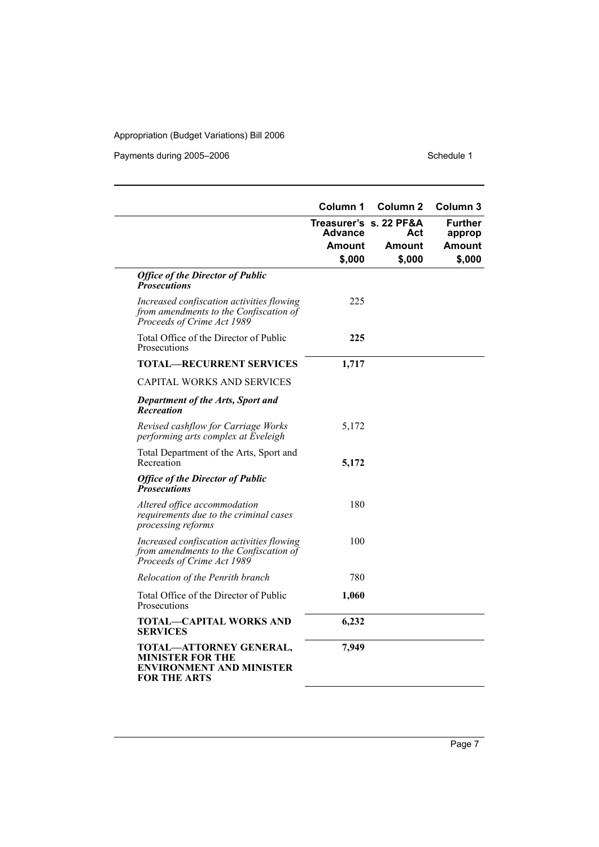Payments during 2005–2006 Schedule 1

|                                                                                                                   | Column 1                          | <b>Column 2</b> | Column 3                 |
|-------------------------------------------------------------------------------------------------------------------|-----------------------------------|-----------------|--------------------------|
|                                                                                                                   | Treasurer's s. 22 PF&A<br>Advance | Act             | <b>Further</b><br>approp |
|                                                                                                                   | Amount                            | Amount          | Amount                   |
|                                                                                                                   | \$,000                            | \$,000          | \$,000                   |
| <b>Office of the Director of Public</b><br><b>Prosecutions</b>                                                    |                                   |                 |                          |
| Increased confiscation activities flowing<br>from amendments to the Confiscation of<br>Proceeds of Crime Act 1989 | 225                               |                 |                          |
| Total Office of the Director of Public<br>Prosecutions                                                            | 225                               |                 |                          |
| <b>TOTAL—RECURRENT SERVICES</b>                                                                                   | 1,717                             |                 |                          |
| <b>CAPITAL WORKS AND SERVICES</b>                                                                                 |                                   |                 |                          |
| <b>Department of the Arts, Sport and</b><br>Recreation                                                            |                                   |                 |                          |
| Revised cashflow for Carriage Works<br>performing arts complex at Eveleigh                                        | 5,172                             |                 |                          |
| Total Department of the Arts, Sport and<br>Recreation                                                             | 5,172                             |                 |                          |
| <b>Office of the Director of Public</b><br><b>Prosecutions</b>                                                    |                                   |                 |                          |
| Altered office accommodation<br>requirements due to the criminal cases<br>processing reforms                      | 180                               |                 |                          |
| Increased confiscation activities flowing<br>from amendments to the Confiscation of<br>Proceeds of Crime Act 1989 | 100                               |                 |                          |
| Relocation of the Penrith branch                                                                                  | 780                               |                 |                          |
| Total Office of the Director of Public<br>Prosecutions                                                            | 1,060                             |                 |                          |
| TOTAL—CAPITAL WORKS AND<br><b>SERVICES</b>                                                                        | 6,232                             |                 |                          |
| TOTAL-ATTORNEY GENERAL,<br>MINISTER FOR THE<br>ENVIRONMENT AND MINISTER<br><b>FOR THE ARTS</b>                    | 7,949                             |                 |                          |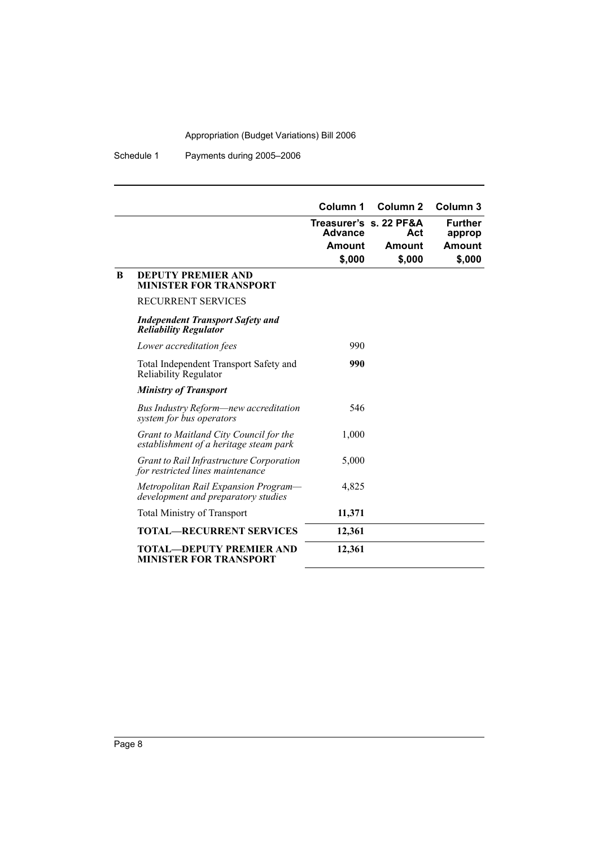Schedule 1 Payments during 2005–2006

|              |                                                                                  | Column 1                                                     | Column <sub>2</sub>     | Column <sub>3</sub>                          |
|--------------|----------------------------------------------------------------------------------|--------------------------------------------------------------|-------------------------|----------------------------------------------|
|              |                                                                                  | Treasurer's s. 22 PF&A<br><b>Advance</b><br>Amount<br>\$,000 | Act<br>Amount<br>\$,000 | <b>Further</b><br>approp<br>Amount<br>\$,000 |
| <sup>B</sup> | <b>DEPUTY PREMIER AND</b><br><b>MINISTER FOR TRANSPORT</b>                       |                                                              |                         |                                              |
|              | <b>RECURRENT SERVICES</b>                                                        |                                                              |                         |                                              |
|              | <b>Independent Transport Safety and</b><br><b>Reliability Regulator</b>          |                                                              |                         |                                              |
|              | Lower accreditation fees                                                         | 990                                                          |                         |                                              |
|              | Total Independent Transport Safety and<br>Reliability Regulator                  | 990                                                          |                         |                                              |
|              | <b>Ministry of Transport</b>                                                     |                                                              |                         |                                              |
|              | Bus Industry Reform—new accreditation<br>system for bus operators                | 546                                                          |                         |                                              |
|              | Grant to Maitland City Council for the<br>establishment of a heritage steam park | 1,000                                                        |                         |                                              |
|              | Grant to Rail Infrastructure Corporation<br>for restricted lines maintenance     | 5,000                                                        |                         |                                              |
|              | Metropolitan Rail Expansion Program-<br>development and preparatory studies      | 4,825                                                        |                         |                                              |
|              | <b>Total Ministry of Transport</b>                                               | 11,371                                                       |                         |                                              |
|              | <b>TOTAL-RECURRENT SERVICES</b>                                                  | 12,361                                                       |                         |                                              |
|              | <b>TOTAL—DEPUTY PREMIER AND</b><br><b>MINISTER FOR TRANSPORT</b>                 | 12,361                                                       |                         |                                              |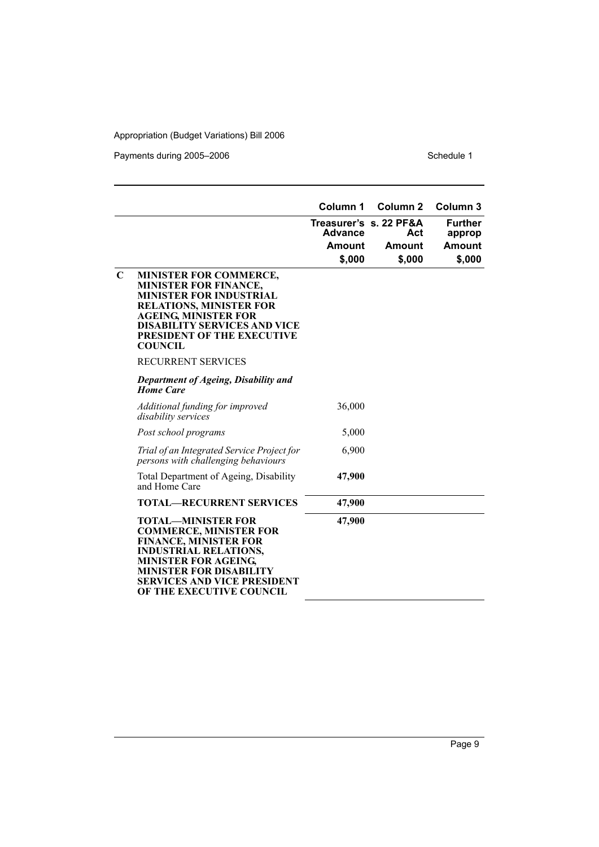Payments during 2005–2006 Schedule 1

|             |                                                                                                                                                                                                                                                              | Column 1                           | Column <sub>2</sub>                               | Column <sub>3</sub>                                 |
|-------------|--------------------------------------------------------------------------------------------------------------------------------------------------------------------------------------------------------------------------------------------------------------|------------------------------------|---------------------------------------------------|-----------------------------------------------------|
|             |                                                                                                                                                                                                                                                              | <b>Advance</b><br>Amount<br>\$,000 | Treasurer's s. 22 PF&A<br>Act<br>Amount<br>\$,000 | <b>Further</b><br>approp<br><b>Amount</b><br>\$,000 |
| $\mathbf C$ | <b>MINISTER FOR COMMERCE,</b><br><b>MINISTER FOR FINANCE,</b><br>MINISTER FOR INDUSTRIAL<br><b>RELATIONS, MINISTER FOR</b><br><b>AGEING, MINISTER FOR</b><br><b>DISABILITY SERVICES AND VICE</b><br>PRESIDENT OF THE EXECUTIVE<br><b>COUNCIL</b>             |                                    |                                                   |                                                     |
|             | <b>RECURRENT SERVICES</b>                                                                                                                                                                                                                                    |                                    |                                                   |                                                     |
|             | Department of Ageing, Disability and<br><b>Home Care</b>                                                                                                                                                                                                     |                                    |                                                   |                                                     |
|             | Additional funding for improved<br>disability services                                                                                                                                                                                                       | 36,000                             |                                                   |                                                     |
|             | Post school programs                                                                                                                                                                                                                                         | 5,000                              |                                                   |                                                     |
|             | Trial of an Integrated Service Project for<br>persons with challenging behaviours                                                                                                                                                                            | 6,900                              |                                                   |                                                     |
|             | Total Department of Ageing, Disability<br>and Home Care                                                                                                                                                                                                      | 47,900                             |                                                   |                                                     |
|             | <b>TOTAL-RECURRENT SERVICES</b>                                                                                                                                                                                                                              | 47,900                             |                                                   |                                                     |
|             | <b>TOTAL-MINISTER FOR</b><br><b>COMMERCE, MINISTER FOR</b><br><b>FINANCE, MINISTER FOR</b><br><b>INDUSTRIAL RELATIONS,</b><br><b>MINISTER FOR AGEING</b><br><b>MINISTER FOR DISABILITY</b><br><b>SERVICES AND VICE PRESIDENT</b><br>OF THE EXECUTIVE COUNCIL | 47,900                             |                                                   |                                                     |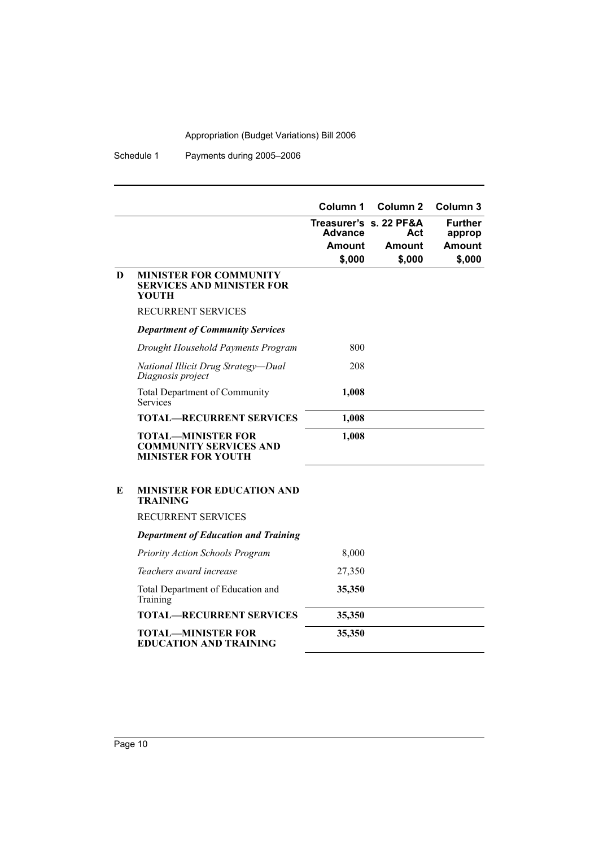Schedule 1 Payments during 2005–2006

|   |                                                                                         | Column 1 | Column <sub>2</sub>           | Column 3                 |
|---|-----------------------------------------------------------------------------------------|----------|-------------------------------|--------------------------|
|   |                                                                                         | Advance  | Treasurer's s. 22 PF&A<br>Act | <b>Further</b><br>approp |
|   |                                                                                         | Amount   | Amount                        | <b>Amount</b>            |
|   |                                                                                         | \$,000   | \$,000                        | \$,000                   |
| D | <b>MINISTER FOR COMMUNITY</b><br><b>SERVICES AND MINISTER FOR</b><br>YOUTH              |          |                               |                          |
|   | RECURRENT SERVICES                                                                      |          |                               |                          |
|   | <b>Department of Community Services</b>                                                 |          |                               |                          |
|   | Drought Household Payments Program                                                      | 800      |                               |                          |
|   | National Illicit Drug Strategy-Dual<br>Diagnosis project                                | 208      |                               |                          |
|   | <b>Total Department of Community</b><br><b>Services</b>                                 | 1,008    |                               |                          |
|   | <b>TOTAL—RECURRENT SERVICES</b>                                                         | 1,008    |                               |                          |
|   | <b>TOTAL-MINISTER FOR</b><br><b>COMMUNITY SERVICES AND</b><br><b>MINISTER FOR YOUTH</b> | 1,008    |                               |                          |
| E | <b>MINISTER FOR EDUCATION AND</b><br><b>TRAINING</b>                                    |          |                               |                          |
|   | <b>RECURRENT SERVICES</b>                                                               |          |                               |                          |
|   | <b>Department of Education and Training</b>                                             |          |                               |                          |
|   | Priority Action Schools Program                                                         | 8,000    |                               |                          |
|   | Teachers award increase                                                                 | 27,350   |                               |                          |
|   | Total Department of Education and<br>Training                                           | 35,350   |                               |                          |
|   | <b>TOTAL-RECURRENT SERVICES</b>                                                         | 35,350   |                               |                          |
|   | <b>TOTAL-MINISTER FOR</b><br><b>EDUCATION AND TRAINING</b>                              | 35,350   |                               |                          |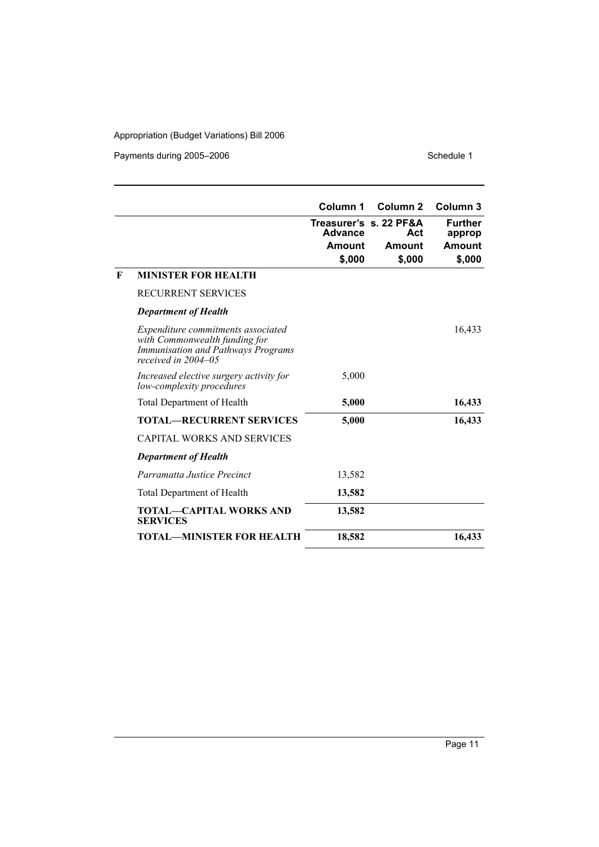Payments during 2005–2006 Schedule 1

j.

|   |                                                                                                                                         | Column 1                           | Column <sub>2</sub>                               | Column <sub>3</sub>                          |
|---|-----------------------------------------------------------------------------------------------------------------------------------------|------------------------------------|---------------------------------------------------|----------------------------------------------|
|   |                                                                                                                                         | <b>Advance</b><br>Amount<br>\$,000 | Treasurer's s. 22 PF&A<br>Act<br>Amount<br>\$,000 | <b>Further</b><br>approp<br>Amount<br>\$,000 |
| F | <b>MINISTER FOR HEALTH</b>                                                                                                              |                                    |                                                   |                                              |
|   | RECURRENT SERVICES                                                                                                                      |                                    |                                                   |                                              |
|   | <b>Department of Health</b>                                                                                                             |                                    |                                                   |                                              |
|   | Expenditure commitments associated<br>with Commonwealth funding for<br><b>Immunisation and Pathways Programs</b><br>received in 2004–05 |                                    |                                                   | 16,433                                       |
|   | Increased elective surgery activity for<br>low-complexity procedures                                                                    | 5,000                              |                                                   |                                              |
|   | <b>Total Department of Health</b>                                                                                                       | 5,000                              |                                                   | 16,433                                       |
|   | <b>TOTAL—RECURRENT SERVICES</b>                                                                                                         | 5,000                              |                                                   | 16,433                                       |
|   | <b>CAPITAL WORKS AND SERVICES</b>                                                                                                       |                                    |                                                   |                                              |
|   | <b>Department of Health</b>                                                                                                             |                                    |                                                   |                                              |
|   | Parramatta Justice Precinct                                                                                                             | 13,582                             |                                                   |                                              |
|   | Total Department of Health                                                                                                              | 13,582                             |                                                   |                                              |
|   | <b>TOTAL—CAPITAL WORKS AND</b><br><b>SERVICES</b>                                                                                       | 13,582                             |                                                   |                                              |
|   | <b>TOTAL—MINISTER FOR HEALTH</b>                                                                                                        | 18,582                             |                                                   | 16,433                                       |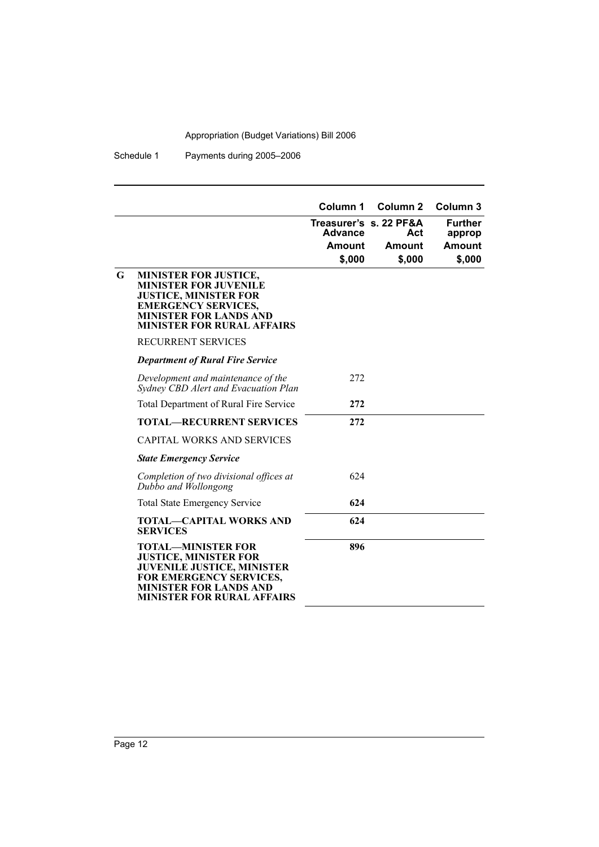Schedule 1 Payments during 2005–2006

|   |                                                                                                                                                                                                 | Column 1       | Column <sub>2</sub>    | Column <sub>3</sub>     |
|---|-------------------------------------------------------------------------------------------------------------------------------------------------------------------------------------------------|----------------|------------------------|-------------------------|
|   |                                                                                                                                                                                                 | <b>Advance</b> | Treasurer's s. 22 PF&A | <b>Further</b>          |
|   |                                                                                                                                                                                                 | <b>Amount</b>  | Act<br>Amount          | approp<br><b>Amount</b> |
|   |                                                                                                                                                                                                 | \$,000         | \$,000                 | \$,000                  |
| G | MINISTER FOR JUSTICE,<br><b>MINISTER FOR JUVENILE</b><br><b>JUSTICE, MINISTER FOR</b><br><b>EMERGENCY SERVICES,</b><br><b>MINISTER FOR LANDS AND</b><br><b>MINISTER FOR RURAL AFFAIRS</b>       |                |                        |                         |
|   | <b>RECURRENT SERVICES</b>                                                                                                                                                                       |                |                        |                         |
|   | <b>Department of Rural Fire Service</b>                                                                                                                                                         |                |                        |                         |
|   | Development and maintenance of the<br>Sydney CBD Alert and Evacuation Plan                                                                                                                      | 272            |                        |                         |
|   | <b>Total Department of Rural Fire Service</b>                                                                                                                                                   | 272            |                        |                         |
|   | <b>TOTAL—RECURRENT SERVICES</b>                                                                                                                                                                 | 272            |                        |                         |
|   | <b>CAPITAL WORKS AND SERVICES</b>                                                                                                                                                               |                |                        |                         |
|   | <b>State Emergency Service</b>                                                                                                                                                                  |                |                        |                         |
|   | Completion of two divisional offices at<br>Dubbo and Wollongong                                                                                                                                 | 624            |                        |                         |
|   | <b>Total State Emergency Service</b>                                                                                                                                                            | 624            |                        |                         |
|   | <b>TOTAL-CAPITAL WORKS AND</b><br><b>SERVICES</b>                                                                                                                                               | 624            |                        |                         |
|   | <b>TOTAL—MINISTER FOR</b><br><b>JUSTICE, MINISTER FOR</b><br><b>JUVENILE JUSTICE, MINISTER</b><br>FOR EMERGENCY SERVICES,<br><b>MINISTER FOR LANDS AND</b><br><b>MINISTER FOR RURAL AFFAIRS</b> | 896            |                        |                         |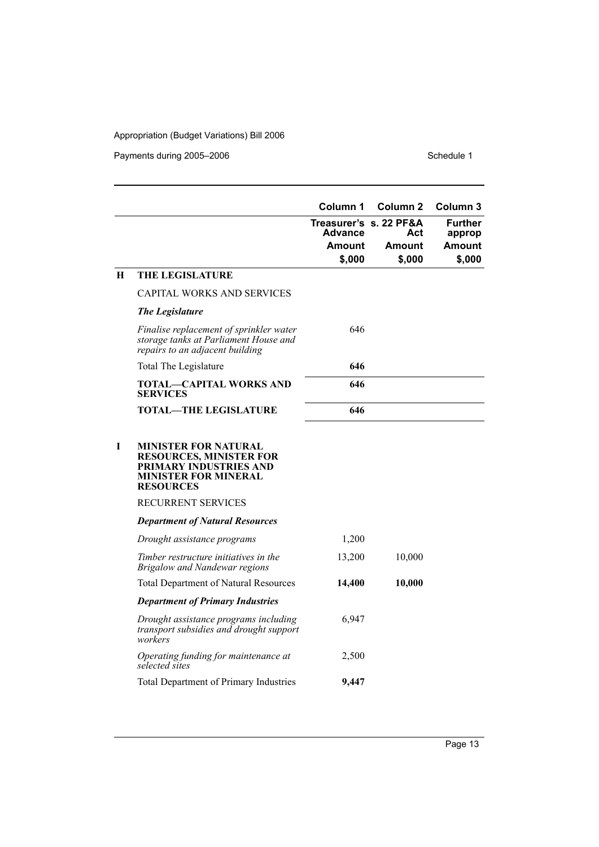Payments during 2005–2006 Schedule 1

|   |                                                                                                                                            | Column 1                          | Column <sub>2</sub> | Column 3          |
|---|--------------------------------------------------------------------------------------------------------------------------------------------|-----------------------------------|---------------------|-------------------|
|   |                                                                                                                                            | Treasurer's s. 22 PF&A<br>Advance | Act                 | Further<br>approp |
|   |                                                                                                                                            | <b>Amount</b>                     | Amount              | Amount            |
|   |                                                                                                                                            | \$,000                            | \$,000              | \$,000            |
| H | <b>THE LEGISLATURE</b>                                                                                                                     |                                   |                     |                   |
|   | <b>CAPITAL WORKS AND SERVICES</b>                                                                                                          |                                   |                     |                   |
|   | <b>The Legislature</b>                                                                                                                     |                                   |                     |                   |
|   | Finalise replacement of sprinkler water<br>storage tanks at Parliament House and<br>repairs to an adjacent building                        | 646                               |                     |                   |
|   | Total The Legislature                                                                                                                      | 646                               |                     |                   |
|   | <b>TOTAL—CAPITAL WORKS AND</b><br><b>SERVICES</b>                                                                                          | 646                               |                     |                   |
|   | <b>TOTAL-THE LEGISLATURE</b>                                                                                                               | 646                               |                     |                   |
| Т | <b>MINISTER FOR NATURAL</b><br><b>RESOURCES, MINISTER FOR</b><br>PRIMARY INDUSTRIES AND<br><b>MINISTER FOR MINERAL</b><br><b>RESOURCES</b> |                                   |                     |                   |
|   | <b>RECURRENT SERVICES</b>                                                                                                                  |                                   |                     |                   |
|   | <b>Department of Natural Resources</b>                                                                                                     |                                   |                     |                   |
|   | Drought assistance programs                                                                                                                | 1,200                             |                     |                   |
|   | Timber restructure initiatives in the<br>Brigalow and Nandewar regions                                                                     | 13,200                            | 10,000              |                   |
|   | <b>Total Department of Natural Resources</b>                                                                                               | 14,400                            | 10,000              |                   |
|   | <b>Department of Primary Industries</b>                                                                                                    |                                   |                     |                   |
|   | Drought assistance programs including<br>transport subsidies and drought support<br>workers                                                | 6,947                             |                     |                   |
|   | Operating funding for maintenance at<br>selected sites                                                                                     | 2,500                             |                     |                   |
|   | <b>Total Department of Primary Industries</b>                                                                                              | 9,447                             |                     |                   |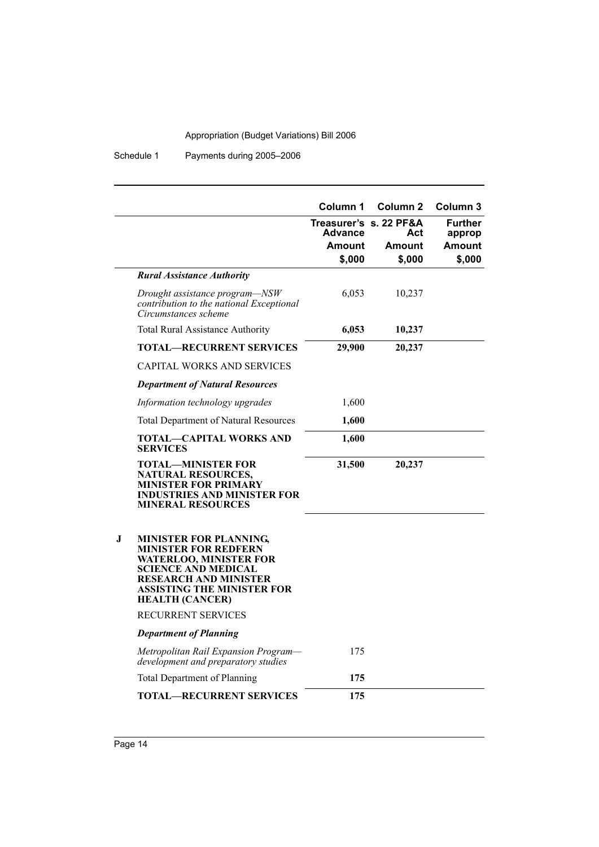Schedule 1 Payments during 2005–2006

|   |                                                                                                                                                                                                                     | Column 1<br><b>Advance</b><br><b>Amount</b> | Column <sub>2</sub><br>Treasurer's s. 22 PF&A<br>Act<br>Amount | Column 3<br><b>Further</b><br>approp<br>Amount |
|---|---------------------------------------------------------------------------------------------------------------------------------------------------------------------------------------------------------------------|---------------------------------------------|----------------------------------------------------------------|------------------------------------------------|
|   |                                                                                                                                                                                                                     | \$,000                                      | \$,000                                                         | \$,000                                         |
|   | <b>Rural Assistance Authority</b>                                                                                                                                                                                   |                                             |                                                                |                                                |
|   | Drought assistance program-NSW<br>contribution to the national Exceptional<br>Circumstances scheme                                                                                                                  | 6,053                                       | 10,237                                                         |                                                |
|   | <b>Total Rural Assistance Authority</b>                                                                                                                                                                             | 6,053                                       | 10,237                                                         |                                                |
|   | <b>TOTAL—RECURRENT SERVICES</b>                                                                                                                                                                                     | 29,900                                      | 20,237                                                         |                                                |
|   | <b>CAPITAL WORKS AND SERVICES</b>                                                                                                                                                                                   |                                             |                                                                |                                                |
|   | <b>Department of Natural Resources</b>                                                                                                                                                                              |                                             |                                                                |                                                |
|   | Information technology upgrades                                                                                                                                                                                     | 1,600                                       |                                                                |                                                |
|   | <b>Total Department of Natural Resources</b>                                                                                                                                                                        | 1,600                                       |                                                                |                                                |
|   | TOTAL—CAPITAL WORKS AND<br><b>SERVICES</b>                                                                                                                                                                          | 1,600                                       |                                                                |                                                |
|   | <b>TOTAL-MINISTER FOR</b><br>NATURAL RESOURCES,<br><b>MINISTER FOR PRIMARY</b><br><b>INDUSTRIES AND MINISTER FOR</b><br><b>MINERAL RESOURCES</b>                                                                    | 31,500                                      | 20,237                                                         |                                                |
| J | <b>MINISTER FOR PLANNING,</b><br><b>MINISTER FOR REDFERN</b><br><b>WATERLOO, MINISTER FOR</b><br><b>SCIENCE AND MEDICAL</b><br><b>RESEARCH AND MINISTER</b><br>ASSISTING THE MINISTER FOR<br><b>HEALTH (CANCER)</b> |                                             |                                                                |                                                |
|   | RECURRENT SERVICES                                                                                                                                                                                                  |                                             |                                                                |                                                |
|   | <b>Department of Planning</b>                                                                                                                                                                                       |                                             |                                                                |                                                |
|   | Metropolitan Rail Expansion Program-<br>development and preparatory studies                                                                                                                                         | 175                                         |                                                                |                                                |
|   | <b>Total Department of Planning</b>                                                                                                                                                                                 | 175                                         |                                                                |                                                |
|   | <b>TOTAL-RECURRENT SERVICES</b>                                                                                                                                                                                     | 175                                         |                                                                |                                                |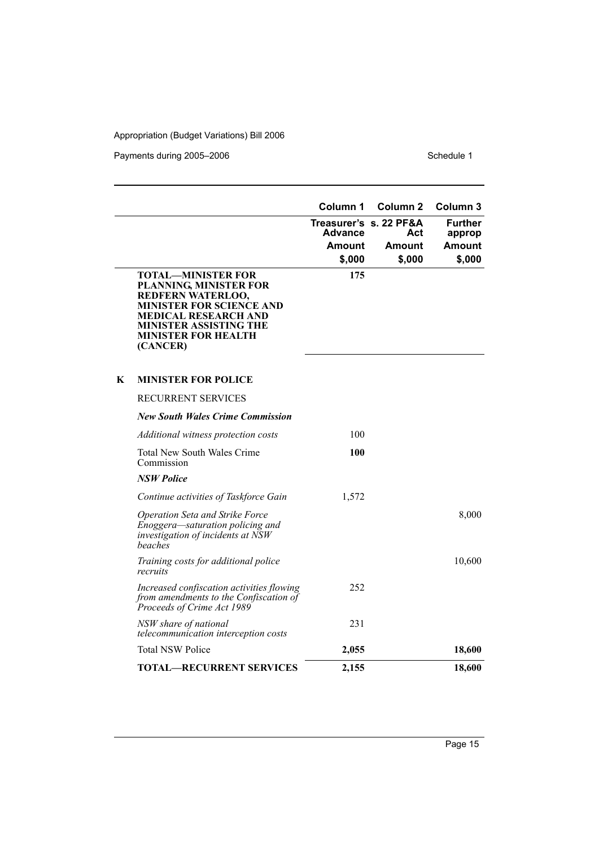Payments during 2005–2006 Schedule 1

|   |                                                                                                                                                                                                                       | Column 1                          | Column <sub>2</sub> | Column 3                 |
|---|-----------------------------------------------------------------------------------------------------------------------------------------------------------------------------------------------------------------------|-----------------------------------|---------------------|--------------------------|
|   |                                                                                                                                                                                                                       | Treasurer's s. 22 PF&A<br>Advance | Act                 | <b>Further</b><br>approp |
|   |                                                                                                                                                                                                                       | <b>Amount</b>                     | Amount              | Amount                   |
|   |                                                                                                                                                                                                                       | \$,000                            | \$,000              | \$,000                   |
|   | <b>TOTAL—MINISTER FOR</b><br>PLANNING, MINISTER FOR<br>REDFERN WATERLOO,<br><b>MINISTER FOR SCIENCE AND</b><br><b>MEDICAL RESEARCH AND</b><br><b>MINISTER ASSISTING THE</b><br><b>MINISTER FOR HEALTH</b><br>(CANCER) | 175                               |                     |                          |
| K | <b>MINISTER FOR POLICE</b>                                                                                                                                                                                            |                                   |                     |                          |
|   | <b>RECURRENT SERVICES</b>                                                                                                                                                                                             |                                   |                     |                          |
|   | <b>New South Wales Crime Commission</b>                                                                                                                                                                               |                                   |                     |                          |
|   | Additional witness protection costs                                                                                                                                                                                   | 100                               |                     |                          |
|   | <b>Total New South Wales Crime</b><br>Commission                                                                                                                                                                      | 100                               |                     |                          |
|   | <b>NSW Police</b>                                                                                                                                                                                                     |                                   |                     |                          |
|   | Continue activities of Taskforce Gain                                                                                                                                                                                 | 1,572                             |                     |                          |
|   | Operation Seta and Strike Force<br>Enoggera-saturation policing and<br>investigation of incidents at NSW<br>beaches                                                                                                   |                                   |                     | 8,000                    |
|   | Training costs for additional police<br>recruits                                                                                                                                                                      |                                   |                     | 10,600                   |
|   | Increased confiscation activities flowing<br>from amendments to the Confiscation of<br>Proceeds of Crime Act 1989                                                                                                     | 252                               |                     |                          |
|   | NSW share of national<br>telecommunication interception costs                                                                                                                                                         | 231                               |                     |                          |
|   | <b>Total NSW Police</b>                                                                                                                                                                                               | 2,055                             |                     | 18,600                   |
|   | <b>TOTAL-RECURRENT SERVICES</b>                                                                                                                                                                                       | 2,155                             |                     | 18,600                   |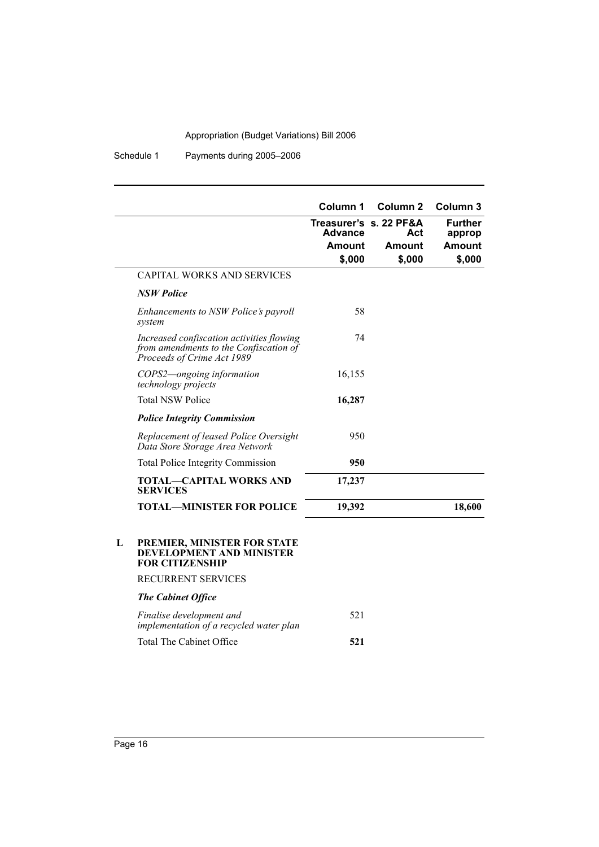Schedule 1 Payments during 2005–2006

|                                                                                                                   | Column 1       | Column <sub>2</sub>           | Column <sub>3</sub>      |
|-------------------------------------------------------------------------------------------------------------------|----------------|-------------------------------|--------------------------|
|                                                                                                                   | <b>Advance</b> | Treasurer's s. 22 PF&A<br>Act | <b>Further</b><br>approp |
|                                                                                                                   | Amount         | Amount                        | Amount                   |
|                                                                                                                   | \$,000         | \$,000                        | \$,000                   |
| <b>CAPITAL WORKS AND SERVICES</b>                                                                                 |                |                               |                          |
| <b>NSW Police</b>                                                                                                 |                |                               |                          |
| Enhancements to NSW Police's payroll<br>system                                                                    | 58             |                               |                          |
| Increased confiscation activities flowing<br>from amendments to the Confiscation of<br>Proceeds of Crime Act 1989 | 74             |                               |                          |
| COPS2—ongoing information<br><i>technology projects</i>                                                           | 16,155         |                               |                          |
| <b>Total NSW Police</b>                                                                                           | 16,287         |                               |                          |
| <b>Police Integrity Commission</b>                                                                                |                |                               |                          |
| Replacement of leased Police Oversight<br>Data Store Storage Area Network                                         | 950            |                               |                          |
| <b>Total Police Integrity Commission</b>                                                                          | 950            |                               |                          |
| <b>TOTAL-CAPITAL WORKS AND</b><br><b>SERVICES</b>                                                                 | 17,237         |                               |                          |
| TOTAL—MINISTER FOR POLICE                                                                                         | 19,392         |                               | 18,600                   |

#### **L PREMIER, MINISTER FOR STATE DEVELOPMENT AND MINISTER FOR CITIZENSHIP**

RECURRENT SERVICES

#### *The Cabinet Office*

| Finalise development and<br>implementation of a recycled water plan | 521 |
|---------------------------------------------------------------------|-----|
| Total The Cabinet Office                                            | 521 |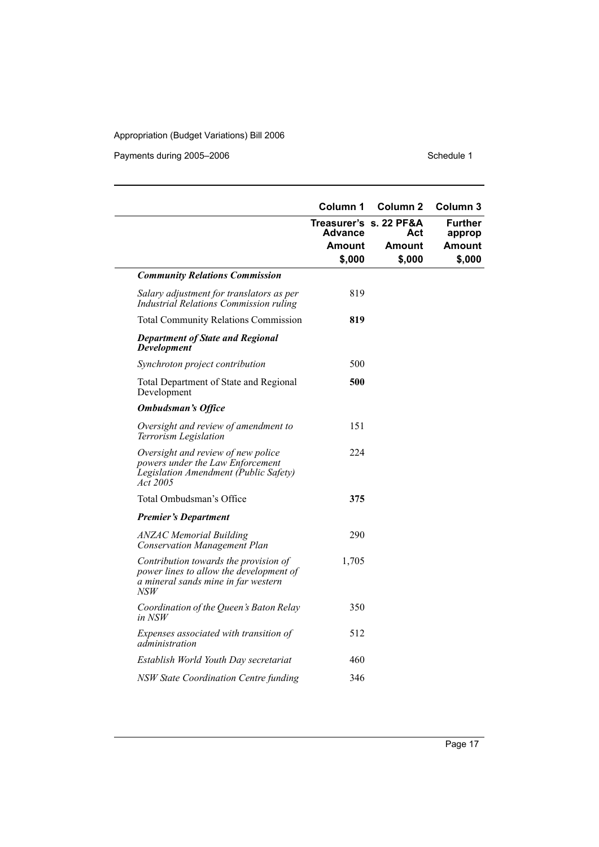Payments during 2005–2006 Schedule 1

|                                                                                                                                | Column 1                                 | Column 2 | Column 3                 |
|--------------------------------------------------------------------------------------------------------------------------------|------------------------------------------|----------|--------------------------|
|                                                                                                                                | Treasurer's s. 22 PF&A<br><b>Advance</b> | Act      | <b>Further</b><br>approp |
|                                                                                                                                | Amount                                   | Amount   | <b>Amount</b>            |
|                                                                                                                                | \$,000                                   | \$,000   | \$,000                   |
| <b>Community Relations Commission</b>                                                                                          |                                          |          |                          |
| Salary adjustment for translators as per<br>Industrial Relations Commission ruling                                             | 819                                      |          |                          |
| <b>Total Community Relations Commission</b>                                                                                    | 819                                      |          |                          |
| <b>Department of State and Regional</b><br><b>Development</b>                                                                  |                                          |          |                          |
| Synchroton project contribution                                                                                                | 500                                      |          |                          |
| Total Department of State and Regional<br>Development                                                                          | 500                                      |          |                          |
| <b>Ombudsman's Office</b>                                                                                                      |                                          |          |                          |
| Oversight and review of amendment to<br>Terrorism Legislation                                                                  | 151                                      |          |                          |
| Oversight and review of new police<br>powers under the Law Enforcement<br>Legislation Amendment (Public Safety)<br>Act 2005    | 224                                      |          |                          |
| Total Ombudsman's Office                                                                                                       | 375                                      |          |                          |
| <b>Premier's Department</b>                                                                                                    |                                          |          |                          |
| <b>ANZAC Memorial Building</b><br><b>Conservation Management Plan</b>                                                          | 290                                      |          |                          |
| Contribution towards the provision of<br>power lines to allow the development of<br>a mineral sands mine in far western<br>NSW | 1,705                                    |          |                          |
| Coordination of the Queen's Baton Relay<br>in NSW                                                                              | 350                                      |          |                          |
| Expenses associated with transition of<br>administration                                                                       | 512                                      |          |                          |
| Establish World Youth Day secretariat                                                                                          | 460                                      |          |                          |
| <b>NSW State Coordination Centre funding</b>                                                                                   | 346                                      |          |                          |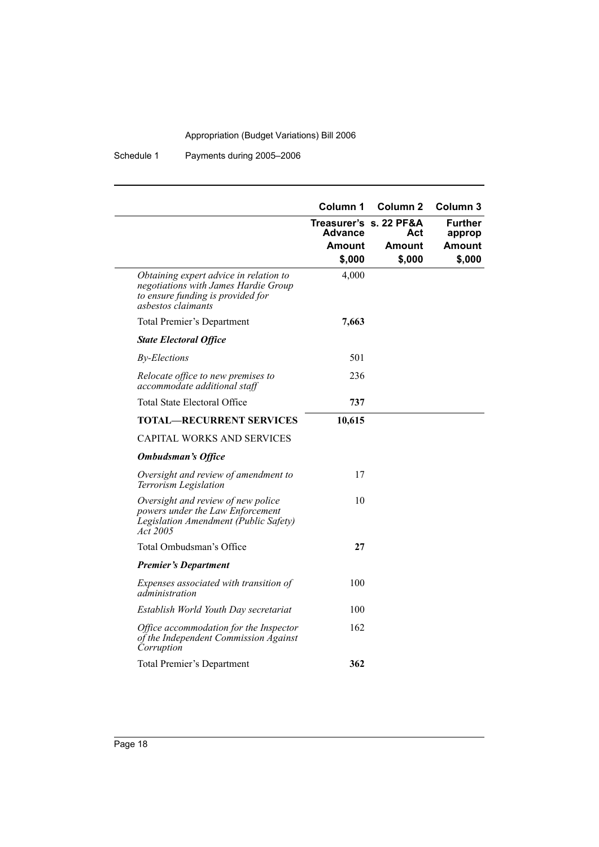#### Schedule 1 Payments during 2005–2006

|                                                                                                                                           | Column 1       | <b>Column 2</b>               | Column 3                 |
|-------------------------------------------------------------------------------------------------------------------------------------------|----------------|-------------------------------|--------------------------|
|                                                                                                                                           | <b>Advance</b> | Treasurer's s. 22 PF&A<br>Act | <b>Further</b><br>approp |
|                                                                                                                                           | Amount         | Amount                        | Amount                   |
|                                                                                                                                           | \$,000         | \$,000                        | \$,000                   |
| Obtaining expert advice in relation to<br>negotiations with James Hardie Group<br>to ensure funding is provided for<br>asbestos claimants | 4,000          |                               |                          |
| Total Premier's Department                                                                                                                | 7,663          |                               |                          |
| <b>State Electoral Office</b>                                                                                                             |                |                               |                          |
| <b>By-Elections</b>                                                                                                                       | 501            |                               |                          |
| Relocate office to new premises to<br>accommodate additional staff                                                                        | 236            |                               |                          |
| <b>Total State Electoral Office</b>                                                                                                       | 737            |                               |                          |
| <b>TOTAL—RECURRENT SERVICES</b>                                                                                                           | 10,615         |                               |                          |
| <b>CAPITAL WORKS AND SERVICES</b>                                                                                                         |                |                               |                          |
| <b>Ombudsman's Office</b>                                                                                                                 |                |                               |                          |
| Oversight and review of amendment to<br>Terrorism Legislation                                                                             | 17             |                               |                          |
| Oversight and review of new police<br>powers under the Law Enforcement<br>Legislation Amendment (Public Safety)<br>Act 2005               | 10             |                               |                          |
| Total Ombudsman's Office                                                                                                                  | 27             |                               |                          |
| <b>Premier's Department</b>                                                                                                               |                |                               |                          |
| Expenses associated with transition of<br>administration                                                                                  | 100            |                               |                          |
| Establish World Youth Day secretariat                                                                                                     | 100            |                               |                          |
| Office accommodation for the Inspector<br>of the Independent Commission Against<br>Corruption                                             | 162            |                               |                          |
| Total Premier's Department                                                                                                                | 362            |                               |                          |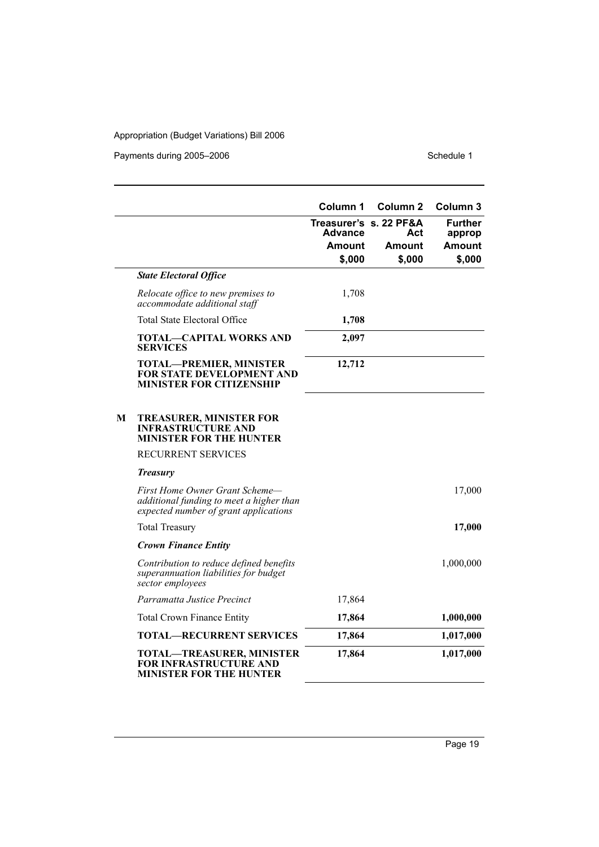Payments during 2005–2006 Schedule 1

|   |                                                                                                                     | Column 1                          | Column <sub>2</sub>     | Column 3                 |
|---|---------------------------------------------------------------------------------------------------------------------|-----------------------------------|-------------------------|--------------------------|
|   |                                                                                                                     | Treasurer's s. 22 PF&A<br>Advance | Act                     | <b>Further</b><br>approp |
|   |                                                                                                                     | Amount<br>\$,000                  | <b>Amount</b><br>\$,000 | <b>Amount</b><br>\$,000  |
|   | <b>State Electoral Office</b>                                                                                       |                                   |                         |                          |
|   | Relocate office to new premises to<br>accommodate additional staff                                                  | 1,708                             |                         |                          |
|   | <b>Total State Electoral Office</b>                                                                                 | 1,708                             |                         |                          |
|   | <b>TOTAL-CAPITAL WORKS AND</b><br><b>SERVICES</b>                                                                   | 2,097                             |                         |                          |
|   | <b>TOTAL-PREMIER, MINISTER</b><br>FOR STATE DEVELOPMENT AND<br><b>MINISTER FOR CITIZENSHIP</b>                      | 12,712                            |                         |                          |
| M | <b>TREASURER, MINISTER FOR</b><br><b>INFRASTRUCTURE AND</b><br>MINISTER FOR THE HUNTER                              |                                   |                         |                          |
|   | RECURRENT SERVICES                                                                                                  |                                   |                         |                          |
|   | <b>Treasury</b>                                                                                                     |                                   |                         |                          |
|   | First Home Owner Grant Scheme—<br>additional funding to meet a higher than<br>expected number of grant applications |                                   |                         | 17,000                   |
|   | <b>Total Treasury</b>                                                                                               |                                   |                         | 17,000                   |
|   | <b>Crown Finance Entity</b>                                                                                         |                                   |                         |                          |
|   | Contribution to reduce defined benefits<br>superannuation liabilities for budget<br>sector employees                |                                   |                         | 1,000,000                |
|   | Parramatta Justice Precinct                                                                                         | 17,864                            |                         |                          |
|   | <b>Total Crown Finance Entity</b>                                                                                   | 17,864                            |                         | 1,000,000                |
|   | <b>TOTAL-RECURRENT SERVICES</b>                                                                                     | 17,864                            |                         | 1,017,000                |
|   | <b>TOTAL-TREASURER, MINISTER</b><br>FOR INFRASTRUCTURE AND<br><b>MINISTER FOR THE HUNTER</b>                        | 17,864                            |                         | 1,017,000                |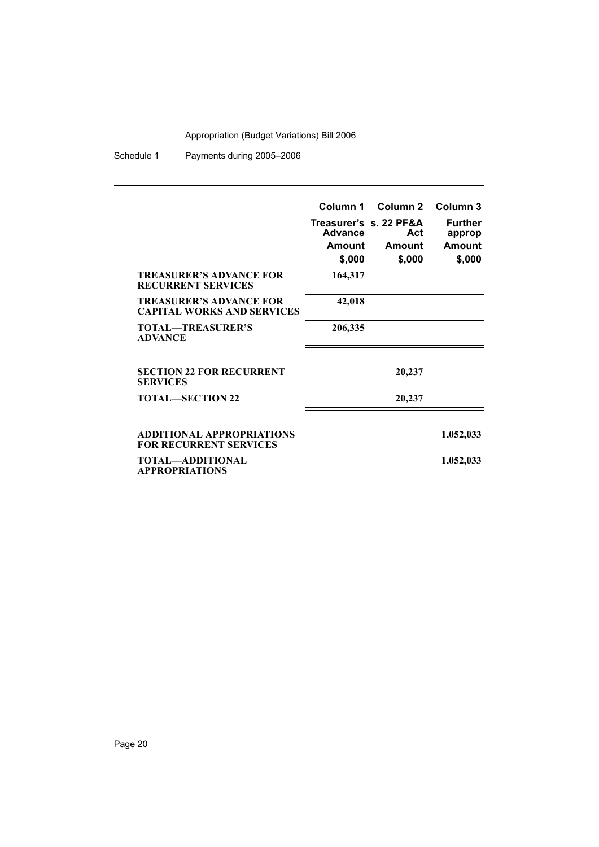Schedule 1 Payments during 2005–2006

|                                                                     | Column 1                          | Column 2 | Column 3                 |
|---------------------------------------------------------------------|-----------------------------------|----------|--------------------------|
|                                                                     | Treasurer's s. 22 PF&A<br>Advance | Act      | <b>Further</b><br>approp |
|                                                                     | Amount                            | Amount   | Amount                   |
|                                                                     | \$,000                            | \$,000   | \$,000                   |
| <b>TREASURER'S ADVANCE FOR</b><br><b>RECURRENT SERVICES</b>         | 164,317                           |          |                          |
| <b>TREASURER'S ADVANCE FOR</b><br><b>CAPITAL WORKS AND SERVICES</b> | 42,018                            |          |                          |
| <b>TOTAL—TREASURER'S</b><br><b>ADVANCE</b>                          | 206,335                           |          |                          |
| <b>SECTION 22 FOR RECURRENT</b><br><b>SERVICES</b>                  |                                   | 20,237   |                          |
| <b>TOTAL—SECTION 22</b>                                             |                                   | 20,237   |                          |
| <b>ADDITIONAL APPROPRIATIONS</b><br><b>FOR RECURRENT SERVICES</b>   |                                   |          | 1,052,033                |
| TOTAL—ADDITIONAL<br><b>APPROPRIATIONS</b>                           |                                   |          | 1,052,033                |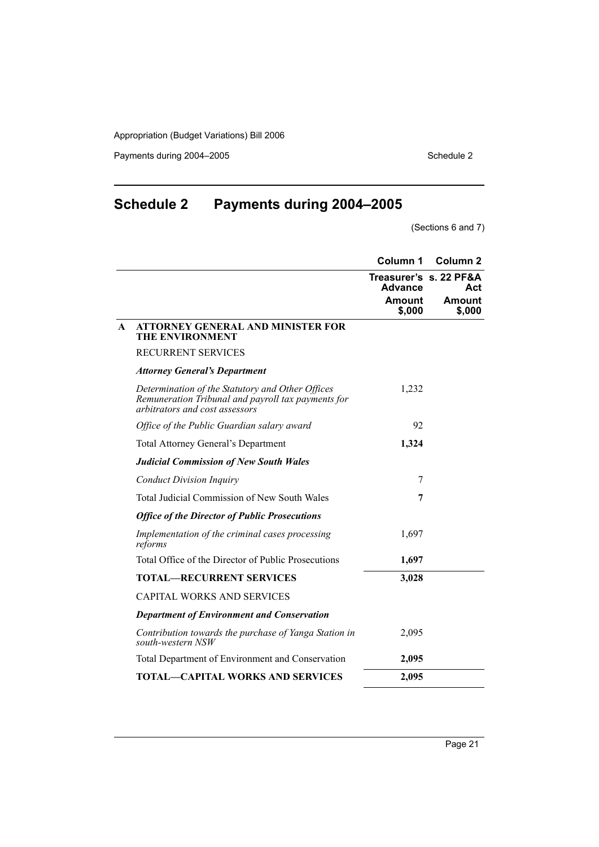Payments during 2004–2005 Schedule 2

# **Schedule 2 Payments during 2004–2005**

(Sections 6 and 7)

|              |                                                                                                                                          | Column 1                                 | Column <sub>2</sub> |
|--------------|------------------------------------------------------------------------------------------------------------------------------------------|------------------------------------------|---------------------|
|              |                                                                                                                                          | Treasurer's s. 22 PF&A<br><b>Advance</b> | Act                 |
|              |                                                                                                                                          | <b>Amount</b><br>\$,000                  | Amount<br>\$,000    |
| $\mathbf{A}$ | <b>ATTORNEY GENERAL AND MINISTER FOR</b><br><b>THE ENVIRONMENT</b>                                                                       |                                          |                     |
|              | <b>RECURRENT SERVICES</b>                                                                                                                |                                          |                     |
|              | <b>Attorney General's Department</b>                                                                                                     |                                          |                     |
|              | Determination of the Statutory and Other Offices<br>Remuneration Tribunal and payroll tax payments for<br>arbitrators and cost assessors | 1,232                                    |                     |
|              | Office of the Public Guardian salary award                                                                                               | 92                                       |                     |
|              | <b>Total Attorney General's Department</b>                                                                                               | 1,324                                    |                     |
|              | <b>Judicial Commission of New South Wales</b>                                                                                            |                                          |                     |
|              | <b>Conduct Division Inquiry</b>                                                                                                          | 7                                        |                     |
|              | Total Judicial Commission of New South Wales                                                                                             | 7                                        |                     |
|              | <b>Office of the Director of Public Prosecutions</b>                                                                                     |                                          |                     |
|              | Implementation of the criminal cases processing<br>reforms                                                                               | 1,697                                    |                     |
|              | Total Office of the Director of Public Prosecutions                                                                                      | 1,697                                    |                     |
|              | <b>TOTAL—RECURRENT SERVICES</b>                                                                                                          | 3,028                                    |                     |
|              | <b>CAPITAL WORKS AND SERVICES</b>                                                                                                        |                                          |                     |
|              | <b>Department of Environment and Conservation</b>                                                                                        |                                          |                     |
|              | Contribution towards the purchase of Yanga Station in<br>south-western NSW                                                               | 2,095                                    |                     |
|              | Total Department of Environment and Conservation                                                                                         | 2,095                                    |                     |
|              | <b>TOTAL—CAPITAL WORKS AND SERVICES</b>                                                                                                  | 2,095                                    |                     |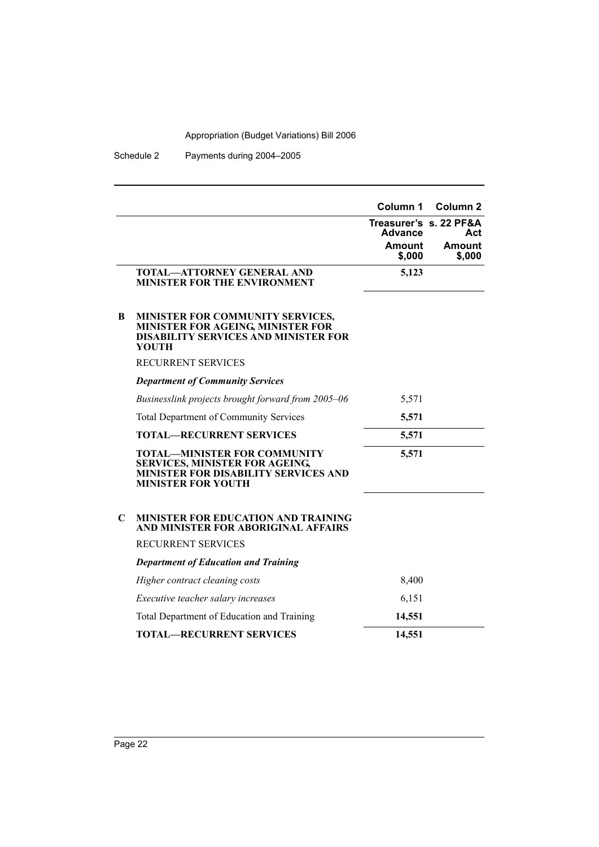Schedule 2 Payments during 2004–2005

|   |                                                                                                                                                   | Column 1<br><b>Advance</b><br><b>Amount</b><br>\$,000 | Column <sub>2</sub><br>Treasurer's s. 22 PF&A<br>Act<br>Amount<br>\$,000 |
|---|---------------------------------------------------------------------------------------------------------------------------------------------------|-------------------------------------------------------|--------------------------------------------------------------------------|
|   | <b>TOTAL-ATTORNEY GENERAL AND</b><br><b>MINISTER FOR THE ENVIRONMENT</b>                                                                          | 5,123                                                 |                                                                          |
| B | MINISTER FOR COMMUNITY SERVICES,<br><b>MINISTER FOR AGEING, MINISTER FOR</b><br><b>DISABILITY SERVICES AND MINISTER FOR</b><br>YOUTH              |                                                       |                                                                          |
|   | <b>RECURRENT SERVICES</b>                                                                                                                         |                                                       |                                                                          |
|   | <b>Department of Community Services</b>                                                                                                           |                                                       |                                                                          |
|   | Businesslink projects brought forward from 2005-06                                                                                                | 5,571                                                 |                                                                          |
|   | <b>Total Department of Community Services</b>                                                                                                     | 5,571                                                 |                                                                          |
|   | <b>TOTAL-RECURRENT SERVICES</b>                                                                                                                   | 5,571                                                 |                                                                          |
|   | <b>TOTAL—MINISTER FOR COMMUNITY</b><br>SERVICES, MINISTER FOR AGEING,<br><b>MINISTER FOR DISABILITY SERVICES AND</b><br><b>MINISTER FOR YOUTH</b> | 5,571                                                 |                                                                          |
| C | <b>MINISTER FOR EDUCATION AND TRAINING</b><br>AND MINISTER FOR ABORIGINAL AFFAIRS<br>RECURRENT SERVICES                                           |                                                       |                                                                          |
|   | <b>Department of Education and Training</b>                                                                                                       |                                                       |                                                                          |
|   | Higher contract cleaning costs                                                                                                                    | 8,400                                                 |                                                                          |
|   | <i>Executive teacher salary increases</i>                                                                                                         | 6,151                                                 |                                                                          |
|   | Total Department of Education and Training                                                                                                        | 14,551                                                |                                                                          |
|   | <b>TOTAL—RECURRENT SERVICES</b>                                                                                                                   | 14,551                                                |                                                                          |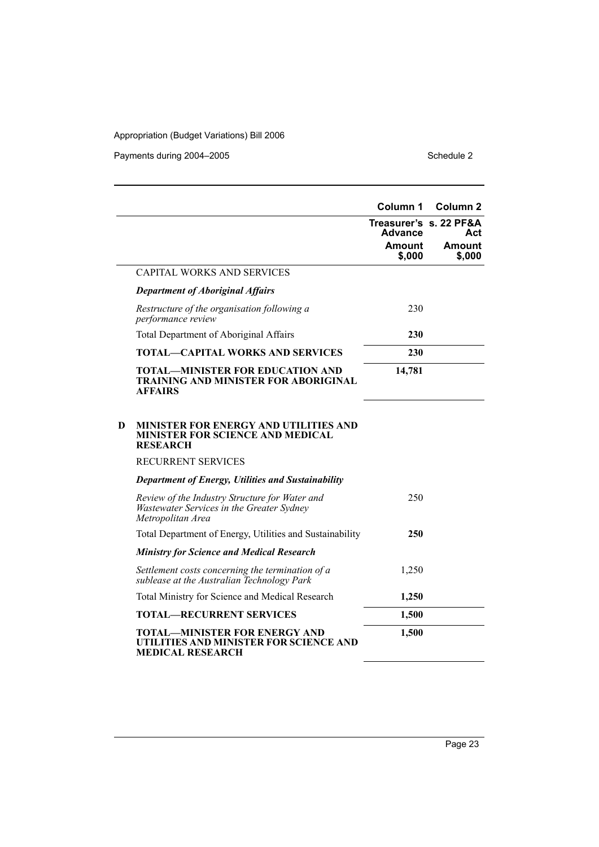Payments during 2004–2005 Schedule 2

|   |                                                                                                                  | Column 1                | Column <sub>2</sub>           |
|---|------------------------------------------------------------------------------------------------------------------|-------------------------|-------------------------------|
|   |                                                                                                                  | <b>Advance</b>          | Treasurer's s. 22 PF&A<br>Act |
|   |                                                                                                                  | <b>Amount</b><br>\$,000 | Amount<br>\$,000              |
|   | <b>CAPITAL WORKS AND SERVICES</b>                                                                                |                         |                               |
|   | <b>Department of Aboriginal Affairs</b>                                                                          |                         |                               |
|   | Restructure of the organisation following a<br>performance review                                                | 230                     |                               |
|   | Total Department of Aboriginal Affairs                                                                           | 230                     |                               |
|   | <b>TOTAL—CAPITAL WORKS AND SERVICES</b>                                                                          | 230                     |                               |
|   | <b>TOTAL-MINISTER FOR EDUCATION AND</b><br><b>TRAINING AND MINISTER FOR ABORIGINAL</b><br><b>AFFAIRS</b>         | 14,781                  |                               |
| D | <b>MINISTER FOR ENERGY AND UTILITIES AND</b><br><b>MINISTER FOR SCIENCE AND MEDICAL</b><br><b>RESEARCH</b>       |                         |                               |
|   | RECURRENT SERVICES                                                                                               |                         |                               |
|   | <b>Department of Energy, Utilities and Sustainability</b>                                                        |                         |                               |
|   | Review of the Industry Structure for Water and<br>Wastewater Services in the Greater Sydney<br>Metropolitan Area | 250                     |                               |
|   | Total Department of Energy, Utilities and Sustainability                                                         | 250                     |                               |
|   | <b>Ministry for Science and Medical Research</b>                                                                 |                         |                               |
|   | Settlement costs concerning the termination of a<br>sublease at the Australian Technology Park                   | 1,250                   |                               |
|   | Total Ministry for Science and Medical Research                                                                  | 1,250                   |                               |
|   | <b>TOTAL-RECURRENT SERVICES</b>                                                                                  | 1,500                   |                               |
|   | <b>TOTAL-MINISTER FOR ENERGY AND</b><br>UTILITIES AND MINISTER FOR SCIENCE AND<br><b>MEDICAL RESEARCH</b>        | 1,500                   |                               |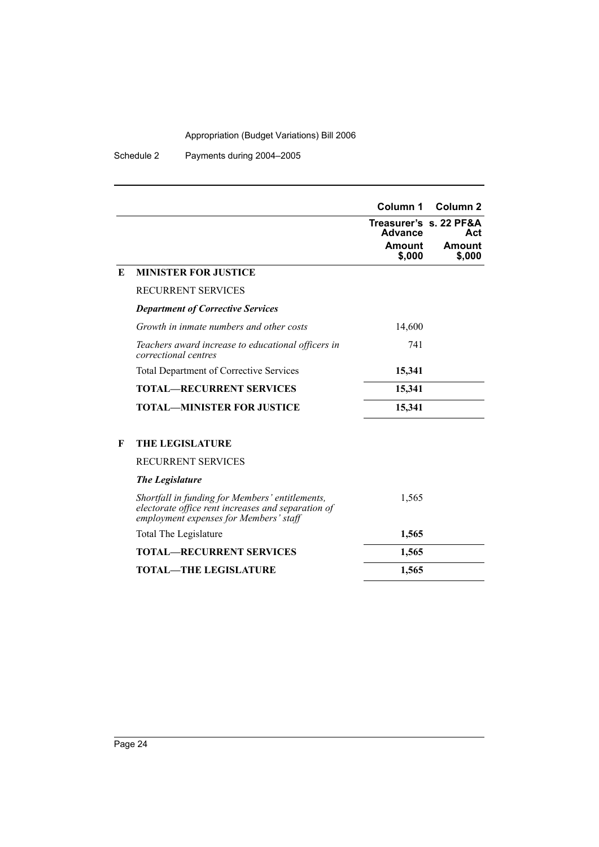Schedule 2 Payments during 2004–2005

| Treasurer's s. 22 PF&A<br>Advance<br>Act<br>Amount<br>Amount<br>\$,000<br>\$,000<br>E<br><b>MINISTER FOR JUSTICE</b><br><b>RECURRENT SERVICES</b><br><b>Department of Corrective Services</b><br>Growth in inmate numbers and other costs<br>14,600<br>741<br>Teachers award increase to educational officers in<br>correctional centres<br><b>Total Department of Corrective Services</b><br>15,341<br><b>TOTAL—RECURRENT SERVICES</b><br>15,341<br><b>TOTAL—MINISTER FOR JUSTICE</b><br>15,341<br><b>THE LEGISLATURE</b><br>F<br><b>RECURRENT SERVICES</b><br><b>The Legislature</b><br>1,565<br>Shortfall in funding for Members' entitlements,<br>electorate office rent increases and separation of<br>employment expenses for Members' staff<br>Total The Legislature<br>1,565<br><b>TOTAL—RECURRENT SERVICES</b><br>1,565<br><b>TOTAL—THE LEGISLATURE</b><br>1,565 |  |          |                     |
|---------------------------------------------------------------------------------------------------------------------------------------------------------------------------------------------------------------------------------------------------------------------------------------------------------------------------------------------------------------------------------------------------------------------------------------------------------------------------------------------------------------------------------------------------------------------------------------------------------------------------------------------------------------------------------------------------------------------------------------------------------------------------------------------------------------------------------------------------------------------------|--|----------|---------------------|
|                                                                                                                                                                                                                                                                                                                                                                                                                                                                                                                                                                                                                                                                                                                                                                                                                                                                           |  | Column 1 | Column <sub>2</sub> |
|                                                                                                                                                                                                                                                                                                                                                                                                                                                                                                                                                                                                                                                                                                                                                                                                                                                                           |  |          |                     |
|                                                                                                                                                                                                                                                                                                                                                                                                                                                                                                                                                                                                                                                                                                                                                                                                                                                                           |  |          |                     |
|                                                                                                                                                                                                                                                                                                                                                                                                                                                                                                                                                                                                                                                                                                                                                                                                                                                                           |  |          |                     |
|                                                                                                                                                                                                                                                                                                                                                                                                                                                                                                                                                                                                                                                                                                                                                                                                                                                                           |  |          |                     |
|                                                                                                                                                                                                                                                                                                                                                                                                                                                                                                                                                                                                                                                                                                                                                                                                                                                                           |  |          |                     |
|                                                                                                                                                                                                                                                                                                                                                                                                                                                                                                                                                                                                                                                                                                                                                                                                                                                                           |  |          |                     |
|                                                                                                                                                                                                                                                                                                                                                                                                                                                                                                                                                                                                                                                                                                                                                                                                                                                                           |  |          |                     |
|                                                                                                                                                                                                                                                                                                                                                                                                                                                                                                                                                                                                                                                                                                                                                                                                                                                                           |  |          |                     |
|                                                                                                                                                                                                                                                                                                                                                                                                                                                                                                                                                                                                                                                                                                                                                                                                                                                                           |  |          |                     |
|                                                                                                                                                                                                                                                                                                                                                                                                                                                                                                                                                                                                                                                                                                                                                                                                                                                                           |  |          |                     |
|                                                                                                                                                                                                                                                                                                                                                                                                                                                                                                                                                                                                                                                                                                                                                                                                                                                                           |  |          |                     |
|                                                                                                                                                                                                                                                                                                                                                                                                                                                                                                                                                                                                                                                                                                                                                                                                                                                                           |  |          |                     |
|                                                                                                                                                                                                                                                                                                                                                                                                                                                                                                                                                                                                                                                                                                                                                                                                                                                                           |  |          |                     |
|                                                                                                                                                                                                                                                                                                                                                                                                                                                                                                                                                                                                                                                                                                                                                                                                                                                                           |  |          |                     |
|                                                                                                                                                                                                                                                                                                                                                                                                                                                                                                                                                                                                                                                                                                                                                                                                                                                                           |  |          |                     |
|                                                                                                                                                                                                                                                                                                                                                                                                                                                                                                                                                                                                                                                                                                                                                                                                                                                                           |  |          |                     |
|                                                                                                                                                                                                                                                                                                                                                                                                                                                                                                                                                                                                                                                                                                                                                                                                                                                                           |  |          |                     |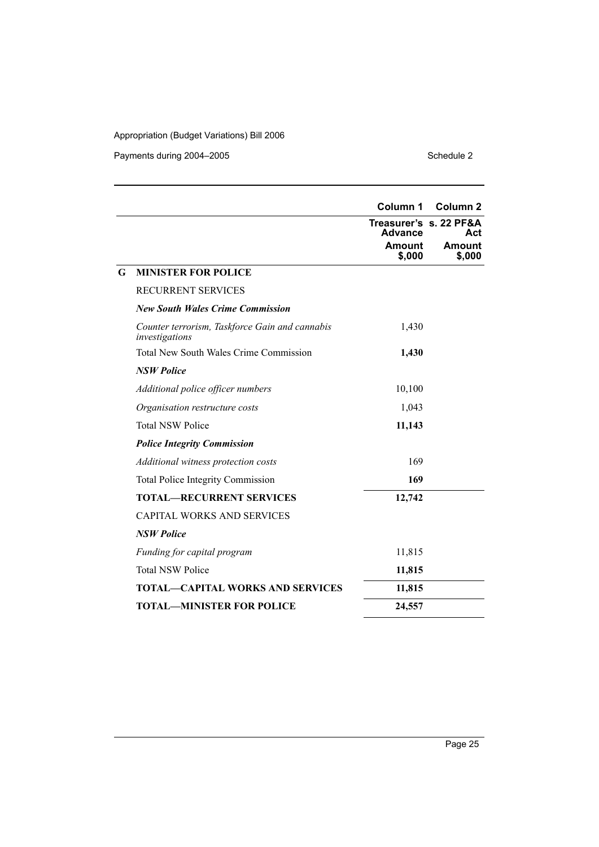Payments during 2004–2005 Schedule 2

|   |                                                                  | Column 1                                 | <b>Column 2</b>  |
|---|------------------------------------------------------------------|------------------------------------------|------------------|
|   |                                                                  | Treasurer's s. 22 PF&A<br><b>Advance</b> | Act              |
|   |                                                                  | Amount<br>\$,000                         | Amount<br>\$,000 |
| G | <b>MINISTER FOR POLICE</b>                                       |                                          |                  |
|   | RECURRENT SERVICES                                               |                                          |                  |
|   | <b>New South Wales Crime Commission</b>                          |                                          |                  |
|   | Counter terrorism, Taskforce Gain and cannabis<br>investigations | 1,430                                    |                  |
|   | <b>Total New South Wales Crime Commission</b>                    | 1,430                                    |                  |
|   | <b>NSW Police</b>                                                |                                          |                  |
|   | Additional police officer numbers                                | 10,100                                   |                  |
|   | Organisation restructure costs                                   | 1,043                                    |                  |
|   | <b>Total NSW Police</b>                                          | 11,143                                   |                  |
|   | <b>Police Integrity Commission</b>                               |                                          |                  |
|   | Additional witness protection costs                              | 169                                      |                  |
|   | <b>Total Police Integrity Commission</b>                         | 169                                      |                  |
|   | <b>TOTAL-RECURRENT SERVICES</b>                                  | 12,742                                   |                  |
|   | <b>CAPITAL WORKS AND SERVICES</b>                                |                                          |                  |
|   | <b>NSW Police</b>                                                |                                          |                  |
|   | Funding for capital program                                      | 11,815                                   |                  |
|   | <b>Total NSW Police</b>                                          | 11,815                                   |                  |
|   | <b>TOTAL—CAPITAL WORKS AND SERVICES</b>                          | 11,815                                   |                  |
|   | <b>TOTAL-MINISTER FOR POLICE</b>                                 | 24,557                                   |                  |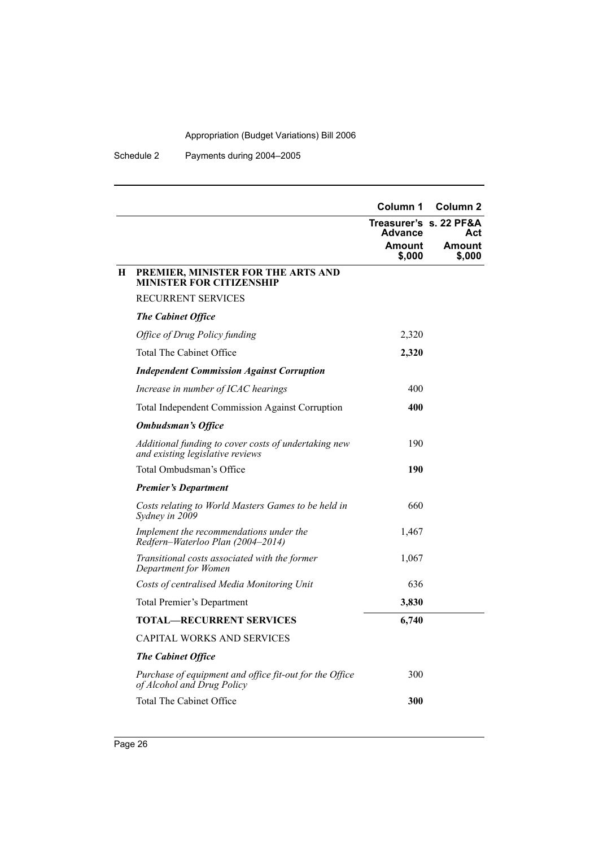Schedule 2 Payments during 2004–2005

|   |                                                                                          | Column 1                                 | Column <sub>2</sub> |
|---|------------------------------------------------------------------------------------------|------------------------------------------|---------------------|
|   |                                                                                          | Treasurer's s. 22 PF&A<br><b>Advance</b> | Act                 |
|   |                                                                                          | <b>Amount</b><br>\$,000                  | Amount<br>\$,000    |
| H | PREMIER, MINISTER FOR THE ARTS AND<br>MINISTER FOR CITIZENSHIP                           |                                          |                     |
|   | <b>RECURRENT SERVICES</b>                                                                |                                          |                     |
|   | <b>The Cabinet Office</b>                                                                |                                          |                     |
|   | Office of Drug Policy funding                                                            | 2,320                                    |                     |
|   | Total The Cabinet Office                                                                 | 2,320                                    |                     |
|   | <b>Independent Commission Against Corruption</b>                                         |                                          |                     |
|   | Increase in number of ICAC hearings                                                      | 400                                      |                     |
|   | <b>Total Independent Commission Against Corruption</b>                                   | 400                                      |                     |
|   | <b>Ombudsman's Office</b>                                                                |                                          |                     |
|   | Additional funding to cover costs of undertaking new<br>and existing legislative reviews | 190                                      |                     |
|   | Total Ombudsman's Office                                                                 | 190                                      |                     |
|   | <b>Premier's Department</b>                                                              |                                          |                     |
|   | Costs relating to World Masters Games to be held in<br>Sydney in 2009                    | 660                                      |                     |
|   | Implement the recommendations under the<br>Redfern-Waterloo Plan (2004-2014)             | 1,467                                    |                     |
|   | Transitional costs associated with the former<br>Department for Women                    | 1,067                                    |                     |
|   | Costs of centralised Media Monitoring Unit                                               | 636                                      |                     |
|   | Total Premier's Department                                                               | 3,830                                    |                     |
|   | <b>TOTAL—RECURRENT SERVICES</b>                                                          | 6,740                                    |                     |
|   | <b>CAPITAL WORKS AND SERVICES</b>                                                        |                                          |                     |
|   | <b>The Cabinet Office</b>                                                                |                                          |                     |
|   | Purchase of equipment and office fit-out for the Office<br>of Alcohol and Drug Policy    | 300                                      |                     |
|   | Total The Cabinet Office                                                                 | 300                                      |                     |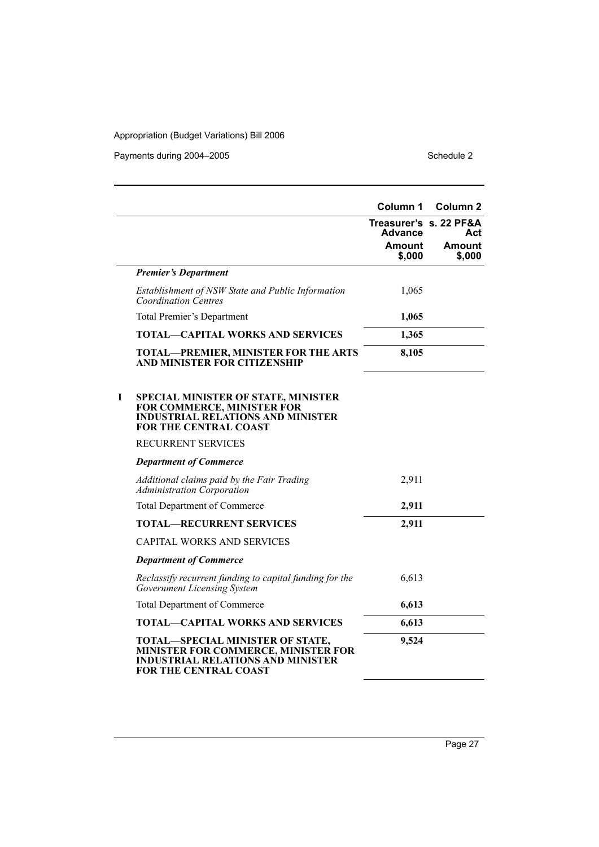Payments during 2004–2005 Schedule 2

|   |                                                                                                                                                      | Column 1                | <b>Column 2</b>               |
|---|------------------------------------------------------------------------------------------------------------------------------------------------------|-------------------------|-------------------------------|
|   |                                                                                                                                                      | <b>Advance</b>          | Treasurer's s. 22 PF&A<br>Act |
|   |                                                                                                                                                      | <b>Amount</b><br>\$,000 | <b>Amount</b><br>\$,000       |
|   | <b>Premier's Department</b>                                                                                                                          |                         |                               |
|   | Establishment of NSW State and Public Information<br>Coordination Centres                                                                            | 1,065                   |                               |
|   | Total Premier's Department                                                                                                                           | 1,065                   |                               |
|   | <b>TOTAL-CAPITAL WORKS AND SERVICES</b>                                                                                                              | 1,365                   |                               |
|   | <b>TOTAL-PREMIER, MINISTER FOR THE ARTS</b><br>AND MINISTER FOR CITIZENSHIP                                                                          | 8,105                   |                               |
| 1 | <b>SPECIAL MINISTER OF STATE, MINISTER</b><br>FOR COMMERCE, MINISTER FOR<br><b>INDUSTRIAL RELATIONS AND MINISTER</b><br><b>FOR THE CENTRAL COAST</b> |                         |                               |
|   | <b>RECURRENT SERVICES</b>                                                                                                                            |                         |                               |
|   | <b>Department of Commerce</b>                                                                                                                        |                         |                               |
|   | Additional claims paid by the Fair Trading<br><b>Administration Corporation</b>                                                                      | 2,911                   |                               |
|   | <b>Total Department of Commerce</b>                                                                                                                  | 2,911                   |                               |
|   | <b>TOTAL-RECURRENT SERVICES</b>                                                                                                                      | 2,911                   |                               |
|   | <b>CAPITAL WORKS AND SERVICES</b>                                                                                                                    |                         |                               |
|   | <b>Department of Commerce</b>                                                                                                                        |                         |                               |
|   | Reclassify recurrent funding to capital funding for the<br><b>Government Licensing System</b>                                                        | 6,613                   |                               |
|   | <b>Total Department of Commerce</b>                                                                                                                  | 6,613                   |                               |
|   | <b>TOTAL-CAPITAL WORKS AND SERVICES</b>                                                                                                              | 6,613                   |                               |
|   | TOTAL-SPECIAL MINISTER OF STATE,<br>MINISTER FOR COMMERCE, MINISTER FOR<br><b>INDUSTRIAL RELATIONS AND MINISTER</b><br><b>FOR THE CENTRAL COAST</b>  | 9,524                   |                               |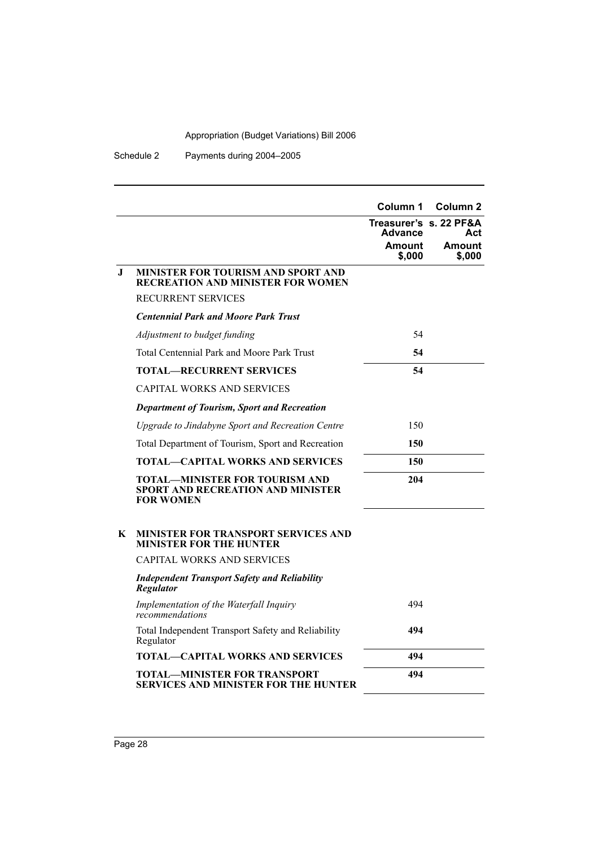Schedule 2 Payments during 2004–2005

|         |                                                                                         | Column 1                                 | Column <sub>2</sub> |
|---------|-----------------------------------------------------------------------------------------|------------------------------------------|---------------------|
|         |                                                                                         | Treasurer's s. 22 PF&A<br><b>Advance</b> | Act                 |
|         |                                                                                         | Amount<br>\$,000                         | Amount<br>\$,000    |
| $\bf J$ | <b>MINISTER FOR TOURISM AND SPORT AND</b><br><b>RECREATION AND MINISTER FOR WOMEN</b>   |                                          |                     |
|         | <b>RECURRENT SERVICES</b>                                                               |                                          |                     |
|         | <b>Centennial Park and Moore Park Trust</b>                                             |                                          |                     |
|         | Adjustment to budget funding                                                            | 54                                       |                     |
|         | <b>Total Centennial Park and Moore Park Trust</b>                                       | 54                                       |                     |
|         | <b>TOTAL—RECURRENT SERVICES</b>                                                         | 54                                       |                     |
|         | CAPITAL WORKS AND SERVICES                                                              |                                          |                     |
|         | <b>Department of Tourism, Sport and Recreation</b>                                      |                                          |                     |
|         | Upgrade to Jindabyne Sport and Recreation Centre                                        | 150                                      |                     |
|         | Total Department of Tourism, Sport and Recreation                                       | 150                                      |                     |
|         | TOTAL—CAPITAL WORKS AND SERVICES                                                        | 150                                      |                     |
|         | TOTAL—MINISTER FOR TOURISM AND<br>SPORT AND RECREATION AND MINISTER<br><b>FOR WOMEN</b> | 204                                      |                     |
| K       | <b>MINISTER FOR TRANSPORT SERVICES AND</b><br><b>MINISTER FOR THE HUNTER</b>            |                                          |                     |
|         | CAPITAL WORKS AND SERVICES                                                              |                                          |                     |
|         | <b>Independent Transport Safety and Reliability</b><br><b>Regulator</b>                 |                                          |                     |
|         | Implementation of the Waterfall Inquiry<br>recommendations                              | 494                                      |                     |
|         | Total Independent Transport Safety and Reliability<br>Regulator                         | 494                                      |                     |
|         | TOTAL—CAPITAL WORKS AND SERVICES                                                        | 494                                      |                     |
|         | TOTAL—MINISTER FOR TRANSPORT<br>SERVICES AND MINISTER FOR THE HUNTER                    | 494                                      |                     |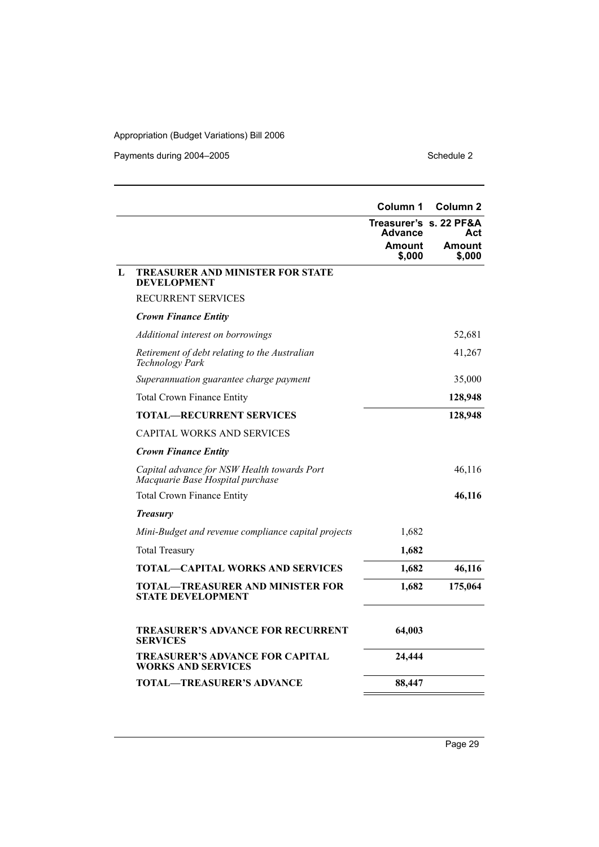Payments during 2004–2005 Schedule 2

|   |                                                                                 | Column 1                | Column <sub>2</sub>           |
|---|---------------------------------------------------------------------------------|-------------------------|-------------------------------|
|   |                                                                                 | <b>Advance</b>          | Treasurer's s. 22 PF&A<br>Act |
|   |                                                                                 | <b>Amount</b><br>\$,000 | Amount<br>\$,000              |
| L | TREASURER AND MINISTER FOR STATE<br><b>DEVELOPMENT</b>                          |                         |                               |
|   | <b>RECURRENT SERVICES</b>                                                       |                         |                               |
|   | <b>Crown Finance Entity</b>                                                     |                         |                               |
|   | <i>Additional interest on borrowings</i>                                        |                         | 52,681                        |
|   | Retirement of debt relating to the Australian<br>Technology Park                |                         | 41,267                        |
|   | Superannuation guarantee charge payment                                         |                         | 35,000                        |
|   | <b>Total Crown Finance Entity</b>                                               |                         | 128,948                       |
|   | <b>TOTAL—RECURRENT SERVICES</b>                                                 |                         | 128,948                       |
|   | CAPITAL WORKS AND SERVICES                                                      |                         |                               |
|   | <b>Crown Finance Entity</b>                                                     |                         |                               |
|   | Capital advance for NSW Health towards Port<br>Macquarie Base Hospital purchase |                         | 46,116                        |
|   | <b>Total Crown Finance Entity</b>                                               |                         | 46,116                        |
|   | <b>Treasury</b>                                                                 |                         |                               |
|   | Mini-Budget and revenue compliance capital projects                             | 1,682                   |                               |
|   | <b>Total Treasury</b>                                                           | 1,682                   |                               |
|   | <b>TOTAL-CAPITAL WORKS AND SERVICES</b>                                         | 1,682                   | 46,116                        |
|   | TOTAL—TREASURER AND MINISTER FOR<br><b>STATE DEVELOPMENT</b>                    | 1,682                   | 175,064                       |
|   | <b>TREASURER'S ADVANCE FOR RECURRENT</b><br><b>SERVICES</b>                     | 64,003                  |                               |
|   | <b>TREASURER'S ADVANCE FOR CAPITAL</b><br><b>WORKS AND SERVICES</b>             | 24,444                  |                               |
|   | TOTAL—TREASURER'S ADVANCE                                                       | 88,447                  |                               |